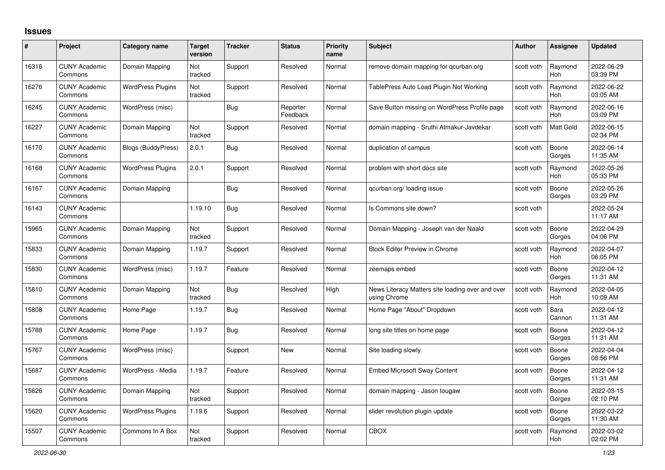## **Issues**

| #     | Project                         | Category name             | <b>Target</b><br>version | <b>Tracker</b> | <b>Status</b>        | <b>Priority</b><br>name | <b>Subject</b>                                                   | <b>Author</b> | <b>Assignee</b>       | <b>Updated</b>         |
|-------|---------------------------------|---------------------------|--------------------------|----------------|----------------------|-------------------------|------------------------------------------------------------------|---------------|-----------------------|------------------------|
| 16316 | <b>CUNY Academic</b><br>Commons | Domain Mapping            | Not<br>tracked           | Support        | Resolved             | Normal                  | remove domain mapping for gcurban.org                            | scott voth    | Raymond<br><b>Hoh</b> | 2022-06-29<br>03:39 PM |
| 16276 | <b>CUNY Academic</b><br>Commons | <b>WordPress Plugins</b>  | Not<br>tracked           | Support        | Resolved             | Normal                  | TablePress Auto Load Plugin Not Working                          | scott voth    | Raymond<br>Hoh        | 2022-06-22<br>03:05 AM |
| 16245 | <b>CUNY Academic</b><br>Commons | WordPress (misc)          |                          | Bug            | Reporter<br>Feedback | Normal                  | Save Button missing on WordPress Profile page                    | scott voth    | Raymond<br><b>Hoh</b> | 2022-06-16<br>03:09 PM |
| 16227 | <b>CUNY Academic</b><br>Commons | Domain Mapping            | Not<br>tracked           | Support        | Resolved             | Normal                  | domain mapping - Sruthi Atmakur-Javdekar                         | scott voth    | Matt Gold             | 2022-06-15<br>02:34 PM |
| 16170 | <b>CUNY Academic</b><br>Commons | <b>Blogs (BuddyPress)</b> | 2.0.1                    | Bug            | Resolved             | Normal                  | duplication of campus                                            | scott voth    | Boone<br>Gorges       | 2022-06-14<br>11:35 AM |
| 16168 | <b>CUNY Academic</b><br>Commons | <b>WordPress Plugins</b>  | 2.0.1                    | Support        | Resolved             | Normal                  | problem with short docs site                                     | scott voth    | Raymond<br>Hoh        | 2022-05-26<br>05:33 PM |
| 16167 | <b>CUNY Academic</b><br>Commons | Domain Mapping            |                          | <b>Bug</b>     | Resolved             | Normal                  | gcurban.org/loading issue                                        | scott voth    | Boone<br>Gorges       | 2022-05-26<br>03:29 PM |
| 16143 | <b>CUNY Academic</b><br>Commons |                           | 1.19.10                  | Bug            | Resolved             | Normal                  | Is Commons site down?                                            | scott voth    |                       | 2022-05-24<br>11:17 AM |
| 15965 | <b>CUNY Academic</b><br>Commons | Domain Mapping            | Not<br>tracked           | Support        | Resolved             | Normal                  | Domain Mapping - Joseph van der Naald                            | scott voth    | Boone<br>Gorges       | 2022-04-29<br>04:06 PM |
| 15833 | <b>CUNY Academic</b><br>Commons | Domain Mapping            | 1.19.7                   | Support        | Resolved             | Normal                  | <b>Block Editor Preview in Chrome</b>                            | scott voth    | Raymond<br>Hoh        | 2022-04-07<br>06:05 PM |
| 15830 | <b>CUNY Academic</b><br>Commons | WordPress (misc)          | 1.19.7                   | Feature        | Resolved             | Normal                  | zeemaps embed                                                    | scott voth    | Boone<br>Gorges       | 2022-04-12<br>11:31 AM |
| 15810 | <b>CUNY Academic</b><br>Commons | Domain Mapping            | Not<br>tracked           | <b>Bug</b>     | Resolved             | High                    | News Literacy Matters site loading over and over<br>using Chrome | scott voth    | Raymond<br>Hoh        | 2022-04-05<br>10:09 AM |
| 15808 | <b>CUNY Academic</b><br>Commons | Home Page                 | 1.19.7                   | <b>Bug</b>     | Resolved             | Normal                  | Home Page "About" Dropdown                                       | scott voth    | Sara<br>Cannon        | 2022-04-12<br>11:31 AM |
| 15788 | <b>CUNY Academic</b><br>Commons | Home Page                 | 1.19.7                   | Bug            | Resolved             | Normal                  | long site titles on home page                                    | scott voth    | Boone<br>Gorges       | 2022-04-12<br>11:31 AM |
| 15767 | <b>CUNY Academic</b><br>Commons | WordPress (misc)          |                          | Support        | <b>New</b>           | Normal                  | Site loading slowly                                              | scott voth    | Boone<br>Gorges       | 2022-04-04<br>08:56 PM |
| 15687 | <b>CUNY Academic</b><br>Commons | WordPress - Media         | 1.19.7                   | Feature        | Resolved             | Normal                  | <b>Embed Microsoft Sway Content</b>                              | scott voth    | Boone<br>Gorges       | 2022-04-12<br>11:31 AM |
| 15626 | <b>CUNY Academic</b><br>Commons | Domain Mapping            | Not<br>tracked           | Support        | Resolved             | Normal                  | domain mapping - Jason tougaw                                    | scott voth    | Boone<br>Gorges       | 2022-03-15<br>02:10 PM |
| 15620 | <b>CUNY Academic</b><br>Commons | <b>WordPress Plugins</b>  | 1.19.6                   | Support        | Resolved             | Normal                  | slider revolution plugin update                                  | scott voth    | Boone<br>Gorges       | 2022-03-22<br>11:30 AM |
| 15507 | <b>CUNY Academic</b><br>Commons | Commons In A Box          | Not<br>tracked           | Support        | Resolved             | Normal                  | <b>CBOX</b>                                                      | scott voth    | Raymond<br>Hoh        | 2022-03-02<br>02:02 PM |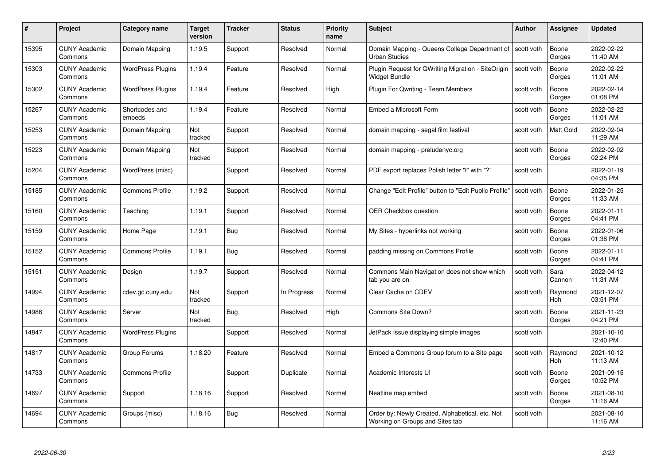| #     | Project                         | <b>Category name</b>     | Target<br>version     | <b>Tracker</b> | <b>Status</b> | <b>Priority</b><br>name | <b>Subject</b>                                                                     | <b>Author</b> | <b>Assignee</b>  | <b>Updated</b>         |
|-------|---------------------------------|--------------------------|-----------------------|----------------|---------------|-------------------------|------------------------------------------------------------------------------------|---------------|------------------|------------------------|
| 15395 | <b>CUNY Academic</b><br>Commons | Domain Mapping           | 1.19.5                | Support        | Resolved      | Normal                  | Domain Mapping - Queens College Department of<br><b>Urban Studies</b>              | scott voth    | Boone<br>Gorges  | 2022-02-22<br>11:40 AM |
| 15303 | <b>CUNY Academic</b><br>Commons | <b>WordPress Plugins</b> | 1.19.4                | Feature        | Resolved      | Normal                  | Plugin Request for QWriting Migration - SiteOrigin<br>Widget Bundle                | scott voth    | Boone<br>Gorges  | 2022-02-22<br>11:01 AM |
| 15302 | <b>CUNY Academic</b><br>Commons | <b>WordPress Plugins</b> | 1.19.4                | Feature        | Resolved      | High                    | Plugin For Qwriting - Team Members                                                 | scott voth    | Boone<br>Gorges  | 2022-02-14<br>01:08 PM |
| 15267 | <b>CUNY Academic</b><br>Commons | Shortcodes and<br>embeds | 1.19.4                | Feature        | Resolved      | Normal                  | Embed a Microsoft Form                                                             | scott voth    | Boone<br>Gorges  | 2022-02-22<br>11:01 AM |
| 15253 | <b>CUNY Academic</b><br>Commons | Domain Mapping           | <b>Not</b><br>tracked | Support        | Resolved      | Normal                  | domain mapping - segal film festival                                               | scott voth    | <b>Matt Gold</b> | 2022-02-04<br>11:29 AM |
| 15223 | <b>CUNY Academic</b><br>Commons | Domain Mapping           | Not<br>tracked        | Support        | Resolved      | Normal                  | domain mapping - preludenyc.org                                                    | scott voth    | Boone<br>Gorges  | 2022-02-02<br>02:24 PM |
| 15204 | <b>CUNY Academic</b><br>Commons | WordPress (misc)         |                       | Support        | Resolved      | Normal                  | PDF export replaces Polish letter "I" with "?"                                     | scott voth    |                  | 2022-01-19<br>04:35 PM |
| 15185 | <b>CUNY Academic</b><br>Commons | <b>Commons Profile</b>   | 1.19.2                | Support        | Resolved      | Normal                  | Change "Edit Profile" button to "Edit Public Profile"                              | scott voth    | Boone<br>Gorges  | 2022-01-25<br>11:33 AM |
| 15160 | <b>CUNY Academic</b><br>Commons | Teaching                 | 1.19.1                | Support        | Resolved      | Normal                  | <b>OER Checkbox question</b>                                                       | scott voth    | Boone<br>Gorges  | 2022-01-11<br>04:41 PM |
| 15159 | <b>CUNY Academic</b><br>Commons | Home Page                | 1.19.1                | Bug            | Resolved      | Normal                  | My Sites - hyperlinks not working                                                  | scott voth    | Boone<br>Gorges  | 2022-01-06<br>01:38 PM |
| 15152 | <b>CUNY Academic</b><br>Commons | <b>Commons Profile</b>   | 1.19.1                | Bug            | Resolved      | Normal                  | padding missing on Commons Profile                                                 | scott voth    | Boone<br>Gorges  | 2022-01-11<br>04:41 PM |
| 15151 | <b>CUNY Academic</b><br>Commons | Design                   | 1.19.7                | Support        | Resolved      | Normal                  | Commons Main Navigation does not show which<br>tab you are on                      | scott voth    | Sara<br>Cannon   | 2022-04-12<br>11:31 AM |
| 14994 | <b>CUNY Academic</b><br>Commons | cdev.gc.cuny.edu         | Not<br>tracked        | Support        | In Progress   | Normal                  | Clear Cache on CDEV                                                                | scott voth    | Raymond<br>Hoh   | 2021-12-07<br>03:51 PM |
| 14986 | <b>CUNY Academic</b><br>Commons | Server                   | Not<br>tracked        | Bug            | Resolved      | High                    | Commons Site Down?                                                                 | scott voth    | Boone<br>Gorges  | 2021-11-23<br>04:21 PM |
| 14847 | <b>CUNY Academic</b><br>Commons | <b>WordPress Plugins</b> |                       | Support        | Resolved      | Normal                  | JetPack Issue displaying simple images                                             | scott voth    |                  | 2021-10-10<br>12:40 PM |
| 14817 | <b>CUNY Academic</b><br>Commons | Group Forums             | 1.18.20               | Feature        | Resolved      | Normal                  | Embed a Commons Group forum to a Site page                                         | scott voth    | Raymond<br>Hoh   | 2021-10-12<br>11:13 AM |
| 14733 | <b>CUNY Academic</b><br>Commons | <b>Commons Profile</b>   |                       | Support        | Duplicate     | Normal                  | Academic Interests UI                                                              | scott voth    | Boone<br>Gorges  | 2021-09-15<br>10:52 PM |
| 14697 | <b>CUNY Academic</b><br>Commons | Support                  | 1.18.16               | Support        | Resolved      | Normal                  | Neatline map embed                                                                 | scott voth    | Boone<br>Gorges  | 2021-08-10<br>11:16 AM |
| 14694 | CUNY Academic<br>Commons        | Groups (misc)            | 1.18.16               | <b>Bug</b>     | Resolved      | Normal                  | Order by: Newly Created, Alphabetical, etc. Not<br>Working on Groups and Sites tab | scott voth    |                  | 2021-08-10<br>11:16 AM |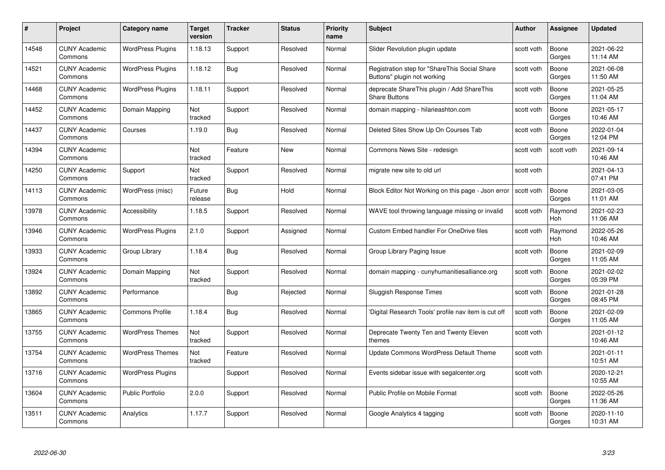| #     | Project                         | <b>Category name</b>     | Target<br>version     | <b>Tracker</b> | <b>Status</b> | <b>Priority</b><br>name | <b>Subject</b>                                                               | <b>Author</b> | <b>Assignee</b> | <b>Updated</b>         |
|-------|---------------------------------|--------------------------|-----------------------|----------------|---------------|-------------------------|------------------------------------------------------------------------------|---------------|-----------------|------------------------|
| 14548 | <b>CUNY Academic</b><br>Commons | <b>WordPress Plugins</b> | 1.18.13               | Support        | Resolved      | Normal                  | Slider Revolution plugin update                                              | scott voth    | Boone<br>Gorges | 2021-06-22<br>11:14 AM |
| 14521 | <b>CUNY Academic</b><br>Commons | <b>WordPress Plugins</b> | 1.18.12               | Bug            | Resolved      | Normal                  | Registration step for "ShareThis Social Share<br>Buttons" plugin not working | scott voth    | Boone<br>Gorges | 2021-06-08<br>11:50 AM |
| 14468 | <b>CUNY Academic</b><br>Commons | <b>WordPress Plugins</b> | 1.18.11               | Support        | Resolved      | Normal                  | deprecate ShareThis plugin / Add ShareThis<br><b>Share Buttons</b>           | scott voth    | Boone<br>Gorges | 2021-05-25<br>11:04 AM |
| 14452 | <b>CUNY Academic</b><br>Commons | Domain Mapping           | Not<br>tracked        | Support        | Resolved      | Normal                  | domain mapping - hilarieashton.com                                           | scott voth    | Boone<br>Gorges | 2021-05-17<br>10:46 AM |
| 14437 | CUNY Academic<br>Commons        | Courses                  | 1.19.0                | Bug            | Resolved      | Normal                  | Deleted Sites Show Up On Courses Tab                                         | scott voth    | Boone<br>Gorges | 2022-01-04<br>12:04 PM |
| 14394 | <b>CUNY Academic</b><br>Commons |                          | <b>Not</b><br>tracked | Feature        | <b>New</b>    | Normal                  | Commons News Site - redesign                                                 | scott voth    | scott voth      | 2021-09-14<br>10:46 AM |
| 14250 | <b>CUNY Academic</b><br>Commons | Support                  | Not<br>tracked        | Support        | Resolved      | Normal                  | migrate new site to old url                                                  | scott voth    |                 | 2021-04-13<br>07:41 PM |
| 14113 | <b>CUNY Academic</b><br>Commons | WordPress (misc)         | Future<br>release     | Bug            | Hold          | Normal                  | Block Editor Not Working on this page - Json error                           | scott voth    | Boone<br>Gorges | 2021-03-05<br>11:01 AM |
| 13978 | <b>CUNY Academic</b><br>Commons | Accessibility            | 1.18.5                | Support        | Resolved      | Normal                  | WAVE tool throwing language missing or invalid                               | scott voth    | Raymond<br>Hoh  | 2021-02-23<br>11:06 AM |
| 13946 | <b>CUNY Academic</b><br>Commons | <b>WordPress Plugins</b> | 2.1.0                 | Support        | Assigned      | Normal                  | <b>Custom Embed handler For OneDrive files</b>                               | scott voth    | Raymond<br>Hoh  | 2022-05-26<br>10:46 AM |
| 13933 | CUNY Academic<br>Commons        | Group Library            | 1.18.4                | Bug            | Resolved      | Normal                  | Group Library Paging Issue                                                   | scott voth    | Boone<br>Gorges | 2021-02-09<br>11:05 AM |
| 13924 | <b>CUNY Academic</b><br>Commons | Domain Mapping           | Not<br>tracked        | Support        | Resolved      | Normal                  | domain mapping - cunyhumanitiesalliance.org                                  | scott voth    | Boone<br>Gorges | 2021-02-02<br>05:39 PM |
| 13892 | <b>CUNY Academic</b><br>Commons | Performance              |                       | Bug            | Rejected      | Normal                  | Sluggish Response Times                                                      | scott voth    | Boone<br>Gorges | 2021-01-28<br>08:45 PM |
| 13865 | <b>CUNY Academic</b><br>Commons | <b>Commons Profile</b>   | 1.18.4                | Bug            | Resolved      | Normal                  | 'Digital Research Tools' profile nav item is cut off                         | scott voth    | Boone<br>Gorges | 2021-02-09<br>11:05 AM |
| 13755 | <b>CUNY Academic</b><br>Commons | <b>WordPress Themes</b>  | Not<br>tracked        | Support        | Resolved      | Normal                  | Deprecate Twenty Ten and Twenty Eleven<br>themes                             | scott voth    |                 | 2021-01-12<br>10:46 AM |
| 13754 | <b>CUNY Academic</b><br>Commons | <b>WordPress Themes</b>  | Not<br>tracked        | Feature        | Resolved      | Normal                  | Update Commons WordPress Default Theme                                       | scott voth    |                 | 2021-01-11<br>10:51 AM |
| 13716 | <b>CUNY Academic</b><br>Commons | <b>WordPress Plugins</b> |                       | Support        | Resolved      | Normal                  | Events sidebar issue with segalcenter.org                                    | scott voth    |                 | 2020-12-21<br>10:55 AM |
| 13604 | <b>CUNY Academic</b><br>Commons | <b>Public Portfolio</b>  | 2.0.0                 | Support        | Resolved      | Normal                  | Public Profile on Mobile Format                                              | scott voth    | Boone<br>Gorges | 2022-05-26<br>11:36 AM |
| 13511 | CUNY Academic<br>Commons        | Analytics                | 1.17.7                | Support        | Resolved      | Normal                  | Google Analytics 4 tagging                                                   | scott voth    | Boone<br>Gorges | 2020-11-10<br>10:31 AM |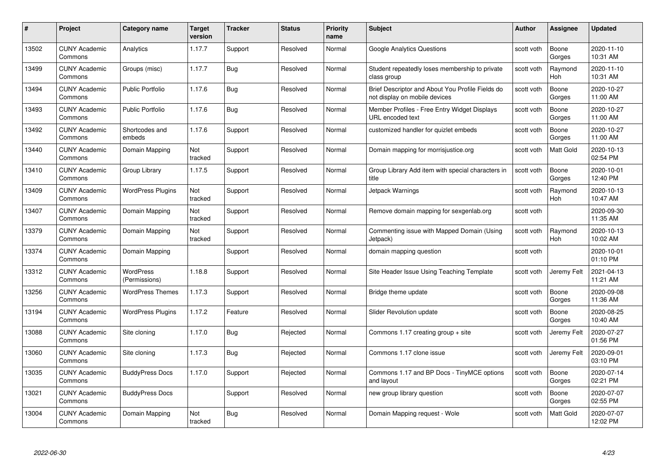| #     | Project                         | Category name                     | Target<br>version | <b>Tracker</b> | <b>Status</b> | <b>Priority</b><br>name | <b>Subject</b>                                                                    | <b>Author</b> | <b>Assignee</b>       | <b>Updated</b>         |
|-------|---------------------------------|-----------------------------------|-------------------|----------------|---------------|-------------------------|-----------------------------------------------------------------------------------|---------------|-----------------------|------------------------|
| 13502 | <b>CUNY Academic</b><br>Commons | Analytics                         | 1.17.7            | Support        | Resolved      | Normal                  | <b>Google Analytics Questions</b>                                                 | scott voth    | Boone<br>Gorges       | 2020-11-10<br>10:31 AM |
| 13499 | <b>CUNY Academic</b><br>Commons | Groups (misc)                     | 1.17.7            | <b>Bug</b>     | Resolved      | Normal                  | Student repeatedly loses membership to private<br>class group                     | scott voth    | Raymond<br><b>Hoh</b> | 2020-11-10<br>10:31 AM |
| 13494 | <b>CUNY Academic</b><br>Commons | <b>Public Portfolio</b>           | 1.17.6            | <b>Bug</b>     | Resolved      | Normal                  | Brief Descriptor and About You Profile Fields do<br>not display on mobile devices | scott voth    | Boone<br>Gorges       | 2020-10-27<br>11:00 AM |
| 13493 | <b>CUNY Academic</b><br>Commons | <b>Public Portfolio</b>           | 1.17.6            | <b>Bug</b>     | Resolved      | Normal                  | Member Profiles - Free Entry Widget Displays<br>URL encoded text                  | scott voth    | Boone<br>Gorges       | 2020-10-27<br>11:00 AM |
| 13492 | <b>CUNY Academic</b><br>Commons | Shortcodes and<br>embeds          | 1.17.6            | Support        | Resolved      | Normal                  | customized handler for quizlet embeds                                             | scott voth    | Boone<br>Gorges       | 2020-10-27<br>11:00 AM |
| 13440 | <b>CUNY Academic</b><br>Commons | Domain Mapping                    | Not<br>tracked    | Support        | Resolved      | Normal                  | Domain mapping for morrisjustice.org                                              | scott voth    | Matt Gold             | 2020-10-13<br>02:54 PM |
| 13410 | <b>CUNY Academic</b><br>Commons | Group Library                     | 1.17.5            | Support        | Resolved      | Normal                  | Group Library Add item with special characters in<br>title                        | scott voth    | Boone<br>Gorges       | 2020-10-01<br>12:40 PM |
| 13409 | <b>CUNY Academic</b><br>Commons | <b>WordPress Plugins</b>          | Not<br>tracked    | Support        | Resolved      | Normal                  | Jetpack Warnings                                                                  | scott voth    | Raymond<br><b>Hoh</b> | 2020-10-13<br>10:47 AM |
| 13407 | <b>CUNY Academic</b><br>Commons | Domain Mapping                    | Not<br>tracked    | Support        | Resolved      | Normal                  | Remove domain mapping for sexgenlab.org                                           | scott voth    |                       | 2020-09-30<br>11:35 AM |
| 13379 | <b>CUNY Academic</b><br>Commons | Domain Mapping                    | Not<br>tracked    | Support        | Resolved      | Normal                  | Commenting issue with Mapped Domain (Using<br>Jetpack)                            | scott voth    | Raymond<br><b>Hoh</b> | 2020-10-13<br>10:02 AM |
| 13374 | <b>CUNY Academic</b><br>Commons | Domain Mapping                    |                   | Support        | Resolved      | Normal                  | domain mapping question                                                           | scott voth    |                       | 2020-10-01<br>01:10 PM |
| 13312 | <b>CUNY Academic</b><br>Commons | <b>WordPress</b><br>(Permissions) | 1.18.8            | Support        | Resolved      | Normal                  | Site Header Issue Using Teaching Template                                         | scott voth    | Jeremy Felt           | 2021-04-13<br>11:21 AM |
| 13256 | <b>CUNY Academic</b><br>Commons | <b>WordPress Themes</b>           | 1.17.3            | Support        | Resolved      | Normal                  | Bridge theme update                                                               | scott voth    | Boone<br>Gorges       | 2020-09-08<br>11:36 AM |
| 13194 | <b>CUNY Academic</b><br>Commons | <b>WordPress Plugins</b>          | 1.17.2            | Feature        | Resolved      | Normal                  | Slider Revolution update                                                          | scott voth    | Boone<br>Gorges       | 2020-08-25<br>10:40 AM |
| 13088 | <b>CUNY Academic</b><br>Commons | Site cloning                      | 1.17.0            | Bug            | Rejected      | Normal                  | Commons 1.17 creating group + site                                                | scott voth    | Jeremy Felt           | 2020-07-27<br>01:56 PM |
| 13060 | <b>CUNY Academic</b><br>Commons | Site cloning                      | 1.17.3            | <b>Bug</b>     | Rejected      | Normal                  | Commons 1.17 clone issue                                                          | scott voth    | Jeremy Felt           | 2020-09-01<br>03:10 PM |
| 13035 | <b>CUNY Academic</b><br>Commons | <b>BuddyPress Docs</b>            | 1.17.0            | Support        | Rejected      | Normal                  | Commons 1.17 and BP Docs - TinyMCE options<br>and layout                          | scott voth    | Boone<br>Gorges       | 2020-07-14<br>02:21 PM |
| 13021 | <b>CUNY Academic</b><br>Commons | <b>BuddyPress Docs</b>            |                   | Support        | Resolved      | Normal                  | new group library question                                                        | scott voth    | Boone<br>Gorges       | 2020-07-07<br>02:55 PM |
| 13004 | CUNY Academic<br>Commons        | Domain Mapping                    | Not<br>tracked    | <b>Bug</b>     | Resolved      | Normal                  | Domain Mapping reguest - Wole                                                     | scott voth    | <b>Matt Gold</b>      | 2020-07-07<br>12:02 PM |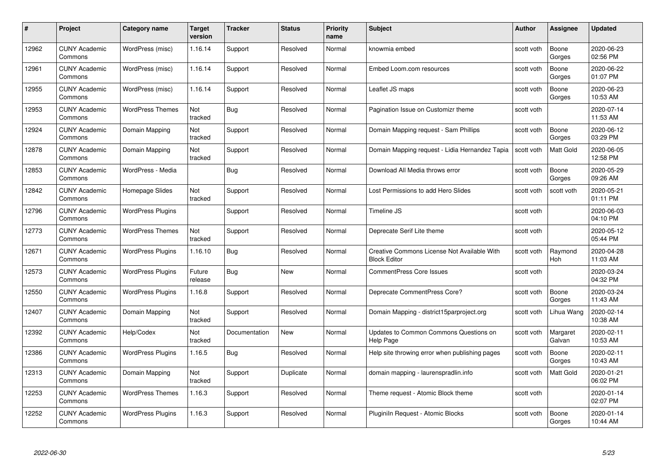| #     | Project                         | <b>Category name</b>     | Target<br>version | <b>Tracker</b> | <b>Status</b> | <b>Priority</b><br>name | <b>Subject</b>                                                     | <b>Author</b> | <b>Assignee</b>    | <b>Updated</b>         |
|-------|---------------------------------|--------------------------|-------------------|----------------|---------------|-------------------------|--------------------------------------------------------------------|---------------|--------------------|------------------------|
| 12962 | <b>CUNY Academic</b><br>Commons | WordPress (misc)         | 1.16.14           | Support        | Resolved      | Normal                  | knowmia embed                                                      | scott voth    | Boone<br>Gorges    | 2020-06-23<br>02:56 PM |
| 12961 | <b>CUNY Academic</b><br>Commons | WordPress (misc)         | 1.16.14           | Support        | Resolved      | Normal                  | Embed Loom.com resources                                           | scott voth    | Boone<br>Gorges    | 2020-06-22<br>01:07 PM |
| 12955 | <b>CUNY Academic</b><br>Commons | WordPress (misc)         | 1.16.14           | Support        | Resolved      | Normal                  | Leaflet JS maps                                                    | scott voth    | Boone<br>Gorges    | 2020-06-23<br>10:53 AM |
| 12953 | <b>CUNY Academic</b><br>Commons | <b>WordPress Themes</b>  | Not<br>tracked    | Bug            | Resolved      | Normal                  | Pagination Issue on Customizr theme                                | scott voth    |                    | 2020-07-14<br>11:53 AM |
| 12924 | <b>CUNY Academic</b><br>Commons | Domain Mapping           | Not<br>tracked    | Support        | Resolved      | Normal                  | Domain Mapping request - Sam Phillips                              | scott voth    | Boone<br>Gorges    | 2020-06-12<br>03:29 PM |
| 12878 | <b>CUNY Academic</b><br>Commons | Domain Mapping           | Not<br>tracked    | Support        | Resolved      | Normal                  | Domain Mapping request - Lidia Hernandez Tapia                     | scott voth    | Matt Gold          | 2020-06-05<br>12:58 PM |
| 12853 | <b>CUNY Academic</b><br>Commons | WordPress - Media        |                   | Bug            | Resolved      | Normal                  | Download All Media throws error                                    | scott voth    | Boone<br>Gorges    | 2020-05-29<br>09:26 AM |
| 12842 | <b>CUNY Academic</b><br>Commons | Homepage Slides          | Not<br>tracked    | Support        | Resolved      | Normal                  | Lost Permissions to add Hero Slides                                | scott voth    | scott voth         | 2020-05-21<br>01:11 PM |
| 12796 | <b>CUNY Academic</b><br>Commons | <b>WordPress Plugins</b> |                   | Support        | Resolved      | Normal                  | Timeline JS                                                        | scott voth    |                    | 2020-06-03<br>04:10 PM |
| 12773 | <b>CUNY Academic</b><br>Commons | <b>WordPress Themes</b>  | Not<br>tracked    | Support        | Resolved      | Normal                  | Deprecate Serif Lite theme                                         | scott voth    |                    | 2020-05-12<br>05:44 PM |
| 12671 | <b>CUNY Academic</b><br>Commons | <b>WordPress Plugins</b> | 1.16.10           | Bug            | Resolved      | Normal                  | Creative Commons License Not Available With<br><b>Block Editor</b> | scott voth    | Raymond<br>Hoh     | 2020-04-28<br>11:03 AM |
| 12573 | <b>CUNY Academic</b><br>Commons | <b>WordPress Plugins</b> | Future<br>release | Bug            | New           | Normal                  | <b>CommentPress Core Issues</b>                                    | scott voth    |                    | 2020-03-24<br>04:32 PM |
| 12550 | <b>CUNY Academic</b><br>Commons | <b>WordPress Plugins</b> | 1.16.8            | Support        | Resolved      | Normal                  | Deprecate CommentPress Core?                                       | scott voth    | Boone<br>Gorges    | 2020-03-24<br>11:43 AM |
| 12407 | <b>CUNY Academic</b><br>Commons | Domain Mapping           | Not<br>tracked    | Support        | Resolved      | Normal                  | Domain Mapping - district15parproject.org                          | scott voth    | Lihua Wang         | 2020-02-14<br>10:38 AM |
| 12392 | <b>CUNY Academic</b><br>Commons | Help/Codex               | Not<br>tracked    | Documentation  | New           | Normal                  | Updates to Common Commons Questions on<br>Help Page                | scott voth    | Margaret<br>Galvan | 2020-02-11<br>10:53 AM |
| 12386 | <b>CUNY Academic</b><br>Commons | <b>WordPress Plugins</b> | 1.16.5            | <b>Bug</b>     | Resolved      | Normal                  | Help site throwing error when publishing pages                     | scott voth    | Boone<br>Gorges    | 2020-02-11<br>10:43 AM |
| 12313 | <b>CUNY Academic</b><br>Commons | Domain Mapping           | Not<br>tracked    | Support        | Duplicate     | Normal                  | domain mapping - laurenspradlin.info                               | scott voth    | <b>Matt Gold</b>   | 2020-01-21<br>06:02 PM |
| 12253 | <b>CUNY Academic</b><br>Commons | <b>WordPress Themes</b>  | 1.16.3            | Support        | Resolved      | Normal                  | Theme request - Atomic Block theme                                 | scott voth    |                    | 2020-01-14<br>02:07 PM |
| 12252 | <b>CUNY Academic</b><br>Commons | <b>WordPress Plugins</b> | 1.16.3            | Support        | Resolved      | Normal                  | Pluginiln Request - Atomic Blocks                                  | scott voth    | Boone<br>Gorges    | 2020-01-14<br>10:44 AM |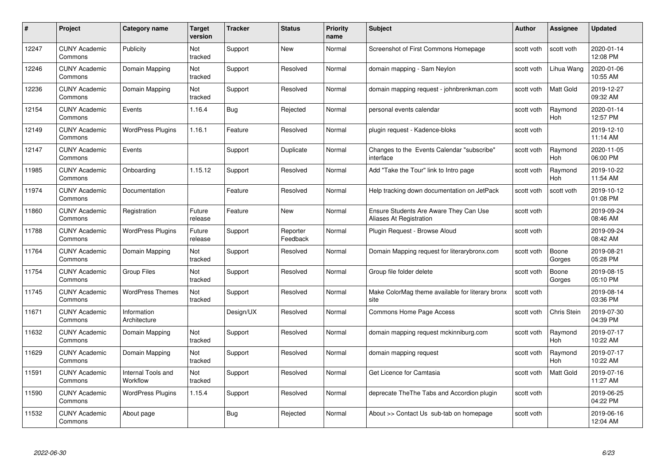| #     | Project                         | Category name                  | <b>Target</b><br>version | <b>Tracker</b> | <b>Status</b>        | <b>Priority</b><br>name | <b>Subject</b>                                                    | <b>Author</b> | Assignee              | <b>Updated</b>         |
|-------|---------------------------------|--------------------------------|--------------------------|----------------|----------------------|-------------------------|-------------------------------------------------------------------|---------------|-----------------------|------------------------|
| 12247 | <b>CUNY Academic</b><br>Commons | Publicity                      | Not<br>tracked           | Support        | <b>New</b>           | Normal                  | Screenshot of First Commons Homepage                              | scott voth    | scott voth            | 2020-01-14<br>12:08 PM |
| 12246 | <b>CUNY Academic</b><br>Commons | Domain Mapping                 | Not<br>tracked           | Support        | Resolved             | Normal                  | domain mapping - Sam Neylon                                       | scott voth    | Lihua Wang            | 2020-01-06<br>10:55 AM |
| 12236 | <b>CUNY Academic</b><br>Commons | Domain Mapping                 | Not<br>tracked           | Support        | Resolved             | Normal                  | domain mapping request - johnbrenkman.com                         | scott voth    | Matt Gold             | 2019-12-27<br>09:32 AM |
| 12154 | <b>CUNY Academic</b><br>Commons | Events                         | 1.16.4                   | Bug            | Rejected             | Normal                  | personal events calendar                                          | scott voth    | Raymond<br>Hoh        | 2020-01-14<br>12:57 PM |
| 12149 | <b>CUNY Academic</b><br>Commons | <b>WordPress Plugins</b>       | 1.16.1                   | Feature        | Resolved             | Normal                  | plugin request - Kadence-bloks                                    | scott voth    |                       | 2019-12-10<br>11:14 AM |
| 12147 | <b>CUNY Academic</b><br>Commons | Events                         |                          | Support        | Duplicate            | Normal                  | Changes to the Events Calendar "subscribe"<br>interface           | scott voth    | Raymond<br>Hoh        | 2020-11-05<br>06:00 PM |
| 11985 | <b>CUNY Academic</b><br>Commons | Onboarding                     | 1.15.12                  | Support        | Resolved             | Normal                  | Add "Take the Tour" link to Intro page                            | scott voth    | Raymond<br>Hoh        | 2019-10-22<br>11:54 AM |
| 11974 | <b>CUNY Academic</b><br>Commons | Documentation                  |                          | Feature        | Resolved             | Normal                  | Help tracking down documentation on JetPack                       | scott voth    | scott voth            | 2019-10-12<br>01:08 PM |
| 11860 | <b>CUNY Academic</b><br>Commons | Registration                   | Future<br>release        | Feature        | New                  | Normal                  | Ensure Students Are Aware They Can Use<br>Aliases At Registration | scott voth    |                       | 2019-09-24<br>08:46 AM |
| 11788 | <b>CUNY Academic</b><br>Commons | <b>WordPress Plugins</b>       | Future<br>release        | Support        | Reporter<br>Feedback | Normal                  | Plugin Request - Browse Aloud                                     | scott voth    |                       | 2019-09-24<br>08:42 AM |
| 11764 | <b>CUNY Academic</b><br>Commons | Domain Mapping                 | Not<br>tracked           | Support        | Resolved             | Normal                  | Domain Mapping request for literarybronx.com                      | scott voth    | Boone<br>Gorges       | 2019-08-21<br>05:28 PM |
| 11754 | <b>CUNY Academic</b><br>Commons | <b>Group Files</b>             | Not<br>tracked           | Support        | Resolved             | Normal                  | Group file folder delete                                          | scott voth    | Boone<br>Gorges       | 2019-08-15<br>05:10 PM |
| 11745 | <b>CUNY Academic</b><br>Commons | <b>WordPress Themes</b>        | Not<br>tracked           | Support        | Resolved             | Normal                  | Make ColorMag theme available for literary bronx<br>site          | scott voth    |                       | 2019-08-14<br>03:36 PM |
| 11671 | <b>CUNY Academic</b><br>Commons | Information<br>Architecture    |                          | Design/UX      | Resolved             | Normal                  | Commons Home Page Access                                          | scott voth    | Chris Stein           | 2019-07-30<br>04:39 PM |
| 11632 | <b>CUNY Academic</b><br>Commons | Domain Mapping                 | Not<br>tracked           | Support        | Resolved             | Normal                  | domain mapping request mckinniburg.com                            | scott voth    | Raymond<br><b>Hoh</b> | 2019-07-17<br>10:22 AM |
| 11629 | <b>CUNY Academic</b><br>Commons | Domain Mapping                 | Not<br>tracked           | Support        | Resolved             | Normal                  | domain mapping request                                            | scott voth    | Raymond<br>Hoh        | 2019-07-17<br>10:22 AM |
| 11591 | <b>CUNY Academic</b><br>Commons | Internal Tools and<br>Workflow | Not<br>tracked           | Support        | Resolved             | Normal                  | Get Licence for Camtasia                                          | scott voth    | <b>Matt Gold</b>      | 2019-07-16<br>11:27 AM |
| 11590 | <b>CUNY Academic</b><br>Commons | <b>WordPress Plugins</b>       | 1.15.4                   | Support        | Resolved             | Normal                  | deprecate The The Tabs and Accordion plugin                       | scott voth    |                       | 2019-06-25<br>04:22 PM |
| 11532 | <b>CUNY Academic</b><br>Commons | About page                     |                          | <b>Bug</b>     | Rejected             | Normal                  | About >> Contact Us sub-tab on homepage                           | scott voth    |                       | 2019-06-16<br>12:04 AM |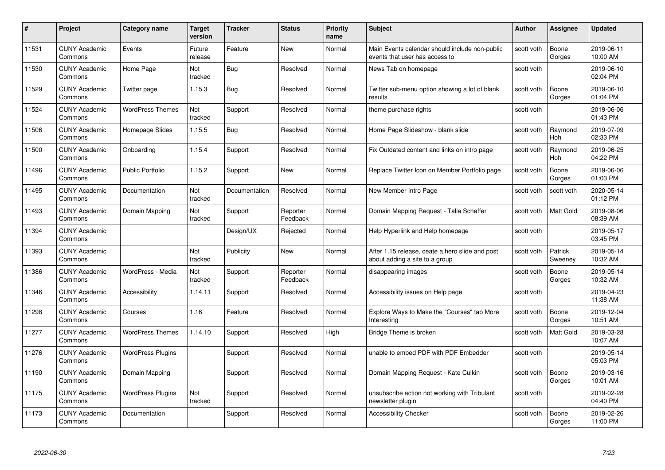| #     | Project                         | <b>Category name</b>     | Target<br>version | <b>Tracker</b> | <b>Status</b>        | <b>Priority</b><br>name | <b>Subject</b>                                                                    | <b>Author</b> | <b>Assignee</b>       | <b>Updated</b>         |
|-------|---------------------------------|--------------------------|-------------------|----------------|----------------------|-------------------------|-----------------------------------------------------------------------------------|---------------|-----------------------|------------------------|
| 11531 | <b>CUNY Academic</b><br>Commons | Events                   | Future<br>release | Feature        | <b>New</b>           | Normal                  | Main Events calendar should include non-public<br>events that user has access to  | scott voth    | Boone<br>Gorges       | 2019-06-11<br>10:00 AM |
| 11530 | <b>CUNY Academic</b><br>Commons | Home Page                | Not<br>tracked    | <b>Bug</b>     | Resolved             | Normal                  | News Tab on homepage                                                              | scott voth    |                       | 2019-06-10<br>02:04 PM |
| 11529 | <b>CUNY Academic</b><br>Commons | Twitter page             | 1.15.3            | <b>Bug</b>     | Resolved             | Normal                  | Twitter sub-menu option showing a lot of blank<br>results                         | scott voth    | Boone<br>Gorges       | 2019-06-10<br>01:04 PM |
| 11524 | <b>CUNY Academic</b><br>Commons | <b>WordPress Themes</b>  | Not<br>tracked    | Support        | Resolved             | Normal                  | theme purchase rights                                                             | scott voth    |                       | 2019-06-06<br>01:43 PM |
| 11506 | <b>CUNY Academic</b><br>Commons | Homepage Slides          | 1.15.5            | Bug            | Resolved             | Normal                  | Home Page Slideshow - blank slide                                                 | scott voth    | Raymond<br><b>Hoh</b> | 2019-07-09<br>02:33 PM |
| 11500 | <b>CUNY Academic</b><br>Commons | Onboarding               | 1.15.4            | Support        | Resolved             | Normal                  | Fix Outdated content and links on intro page                                      | scott voth    | Raymond<br>Hoh        | 2019-06-25<br>04:22 PM |
| 11496 | <b>CUNY Academic</b><br>Commons | <b>Public Portfolio</b>  | 1.15.2            | Support        | New                  | Normal                  | Replace Twitter Icon on Member Portfolio page                                     | scott voth    | Boone<br>Gorges       | 2019-06-06<br>01:03 PM |
| 11495 | <b>CUNY Academic</b><br>Commons | Documentation            | Not<br>tracked    | Documentation  | Resolved             | Normal                  | New Member Intro Page                                                             | scott voth    | scott voth            | 2020-05-14<br>01:12 PM |
| 11493 | <b>CUNY Academic</b><br>Commons | Domain Mapping           | Not<br>tracked    | Support        | Reporter<br>Feedback | Normal                  | Domain Mapping Request - Talia Schaffer                                           | scott voth    | Matt Gold             | 2019-08-06<br>08:39 AM |
| 11394 | <b>CUNY Academic</b><br>Commons |                          |                   | Design/UX      | Rejected             | Normal                  | Help Hyperlink and Help homepage                                                  | scott voth    |                       | 2019-05-17<br>03:45 PM |
| 11393 | CUNY Academic<br>Commons        |                          | Not<br>tracked    | Publicity      | New                  | Normal                  | After 1.15 release, ceate a hero slide and post<br>about adding a site to a group | scott voth    | Patrick<br>Sweeney    | 2019-05-14<br>10:32 AM |
| 11386 | <b>CUNY Academic</b><br>Commons | WordPress - Media        | Not<br>tracked    | Support        | Reporter<br>Feedback | Normal                  | disappearing images                                                               | scott voth    | Boone<br>Gorges       | 2019-05-14<br>10:32 AM |
| 11346 | <b>CUNY Academic</b><br>Commons | Accessibility            | 1.14.11           | Support        | Resolved             | Normal                  | Accessibility issues on Help page                                                 | scott voth    |                       | 2019-04-23<br>11:38 AM |
| 11298 | <b>CUNY Academic</b><br>Commons | Courses                  | 1.16              | Feature        | Resolved             | Normal                  | Explore Ways to Make the "Courses" tab More<br>Interesting                        | scott voth    | Boone<br>Gorges       | 2019-12-04<br>10:51 AM |
| 11277 | <b>CUNY Academic</b><br>Commons | <b>WordPress Themes</b>  | 1.14.10           | Support        | Resolved             | High                    | Bridge Theme is broken                                                            | scott voth    | Matt Gold             | 2019-03-28<br>10:07 AM |
| 11276 | <b>CUNY Academic</b><br>Commons | <b>WordPress Plugins</b> |                   | Support        | Resolved             | Normal                  | unable to embed PDF with PDF Embedder                                             | scott voth    |                       | 2019-05-14<br>05:03 PM |
| 11190 | <b>CUNY Academic</b><br>Commons | Domain Mapping           |                   | Support        | Resolved             | Normal                  | Domain Mapping Request - Kate Culkin                                              | scott voth    | Boone<br>Gorges       | 2019-03-16<br>10:01 AM |
| 11175 | <b>CUNY Academic</b><br>Commons | <b>WordPress Plugins</b> | Not<br>tracked    | Support        | Resolved             | Normal                  | unsubscribe action not working with Tribulant<br>newsletter plugin                | scott voth    |                       | 2019-02-28<br>04:40 PM |
| 11173 | <b>CUNY Academic</b><br>Commons | Documentation            |                   | Support        | Resolved             | Normal                  | <b>Accessibility Checker</b>                                                      | scott voth    | Boone<br>Gorges       | 2019-02-26<br>11:00 PM |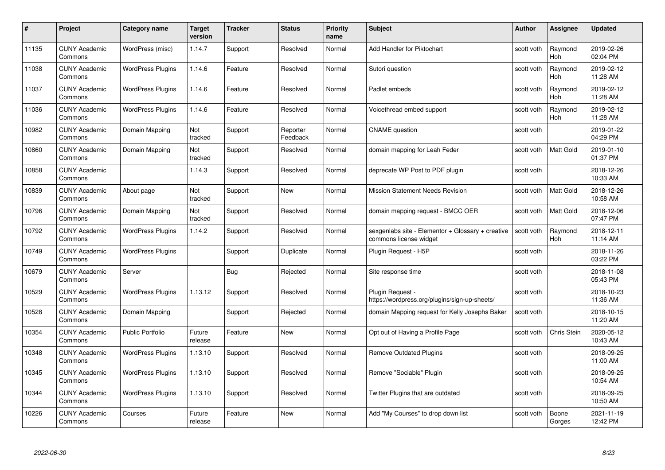| #     | Project                         | <b>Category name</b>     | Target<br>version | <b>Tracker</b> | <b>Status</b>        | <b>Priority</b><br>name | <b>Subject</b>                                                              | <b>Author</b> | <b>Assignee</b>       | <b>Updated</b>         |
|-------|---------------------------------|--------------------------|-------------------|----------------|----------------------|-------------------------|-----------------------------------------------------------------------------|---------------|-----------------------|------------------------|
| 11135 | <b>CUNY Academic</b><br>Commons | WordPress (misc)         | 1.14.7            | Support        | Resolved             | Normal                  | Add Handler for Piktochart                                                  | scott voth    | Raymond<br><b>Hoh</b> | 2019-02-26<br>02:04 PM |
| 11038 | <b>CUNY Academic</b><br>Commons | <b>WordPress Plugins</b> | 1.14.6            | Feature        | Resolved             | Normal                  | Sutori question                                                             | scott voth    | Raymond<br><b>Hoh</b> | 2019-02-12<br>11:28 AM |
| 11037 | <b>CUNY Academic</b><br>Commons | <b>WordPress Plugins</b> | 1.14.6            | Feature        | Resolved             | Normal                  | Padlet embeds                                                               | scott voth    | Raymond<br>Hoh        | 2019-02-12<br>11:28 AM |
| 11036 | <b>CUNY Academic</b><br>Commons | <b>WordPress Plugins</b> | 1.14.6            | Feature        | Resolved             | Normal                  | Voicethread embed support                                                   | scott voth    | Raymond<br>Hoh        | 2019-02-12<br>11:28 AM |
| 10982 | <b>CUNY Academic</b><br>Commons | Domain Mapping           | Not<br>tracked    | Support        | Reporter<br>Feedback | Normal                  | <b>CNAME</b> question                                                       | scott voth    |                       | 2019-01-22<br>04:29 PM |
| 10860 | <b>CUNY Academic</b><br>Commons | Domain Mapping           | Not<br>tracked    | Support        | Resolved             | Normal                  | domain mapping for Leah Feder                                               | scott voth    | Matt Gold             | 2019-01-10<br>01:37 PM |
| 10858 | <b>CUNY Academic</b><br>Commons |                          | 1.14.3            | Support        | Resolved             | Normal                  | deprecate WP Post to PDF plugin                                             | scott voth    |                       | 2018-12-26<br>10:33 AM |
| 10839 | <b>CUNY Academic</b><br>Commons | About page               | Not<br>tracked    | Support        | New                  | Normal                  | <b>Mission Statement Needs Revision</b>                                     | scott voth    | Matt Gold             | 2018-12-26<br>10:58 AM |
| 10796 | <b>CUNY Academic</b><br>Commons | Domain Mapping           | Not<br>tracked    | Support        | Resolved             | Normal                  | domain mapping request - BMCC OER                                           | scott voth    | Matt Gold             | 2018-12-06<br>07:47 PM |
| 10792 | <b>CUNY Academic</b><br>Commons | <b>WordPress Plugins</b> | 1.14.2            | Support        | Resolved             | Normal                  | sexgenlabs site - Elementor + Glossary + creative<br>commons license widget | scott voth    | Raymond<br>Hoh        | 2018-12-11<br>11:14 AM |
| 10749 | CUNY Academic<br>Commons        | <b>WordPress Plugins</b> |                   | Support        | Duplicate            | Normal                  | Plugin Request - H5P                                                        | scott voth    |                       | 2018-11-26<br>03:22 PM |
| 10679 | <b>CUNY Academic</b><br>Commons | Server                   |                   | Bug            | Rejected             | Normal                  | Site response time                                                          | scott voth    |                       | 2018-11-08<br>05:43 PM |
| 10529 | <b>CUNY Academic</b><br>Commons | <b>WordPress Plugins</b> | 1.13.12           | Support        | Resolved             | Normal                  | Plugin Request -<br>https://wordpress.org/plugins/sign-up-sheets/           | scott voth    |                       | 2018-10-23<br>11:36 AM |
| 10528 | <b>CUNY Academic</b><br>Commons | Domain Mapping           |                   | Support        | Rejected             | Normal                  | domain Mapping request for Kelly Josephs Baker                              | scott voth    |                       | 2018-10-15<br>11:20 AM |
| 10354 | <b>CUNY Academic</b><br>Commons | Public Portfolio         | Future<br>release | Feature        | <b>New</b>           | Normal                  | Opt out of Having a Profile Page                                            | scott voth    | Chris Stein           | 2020-05-12<br>10:43 AM |
| 10348 | <b>CUNY Academic</b><br>Commons | <b>WordPress Plugins</b> | 1.13.10           | Support        | Resolved             | Normal                  | <b>Remove Outdated Plugins</b>                                              | scott voth    |                       | 2018-09-25<br>11:00 AM |
| 10345 | <b>CUNY Academic</b><br>Commons | <b>WordPress Plugins</b> | 1.13.10           | Support        | Resolved             | Normal                  | Remove "Sociable" Plugin                                                    | scott voth    |                       | 2018-09-25<br>10:54 AM |
| 10344 | <b>CUNY Academic</b><br>Commons | <b>WordPress Plugins</b> | 1.13.10           | Support        | Resolved             | Normal                  | Twitter Plugins that are outdated                                           | scott voth    |                       | 2018-09-25<br>10:50 AM |
| 10226 | <b>CUNY Academic</b><br>Commons | Courses                  | Future<br>release | Feature        | <b>New</b>           | Normal                  | Add "My Courses" to drop down list                                          | scott voth    | Boone<br>Gorges       | 2021-11-19<br>12:42 PM |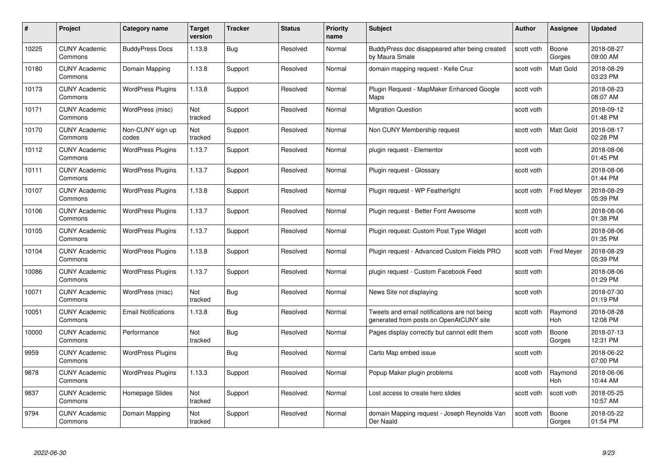| #     | Project                         | <b>Category name</b>       | Target<br>version | <b>Tracker</b> | <b>Status</b> | <b>Priority</b><br>name | <b>Subject</b>                                                                          | <b>Author</b> | <b>Assignee</b>   | <b>Updated</b>         |
|-------|---------------------------------|----------------------------|-------------------|----------------|---------------|-------------------------|-----------------------------------------------------------------------------------------|---------------|-------------------|------------------------|
| 10225 | <b>CUNY Academic</b><br>Commons | <b>BuddyPress Docs</b>     | 1.13.8            | Bug            | Resolved      | Normal                  | BuddyPress doc disappeared after being created<br>by Maura Smale                        | scott voth    | Boone<br>Gorges   | 2018-08-27<br>09:00 AM |
| 10180 | <b>CUNY Academic</b><br>Commons | Domain Mapping             | 1.13.8            | Support        | Resolved      | Normal                  | domain mapping request - Kelle Cruz                                                     | scott voth    | <b>Matt Gold</b>  | 2018-08-29<br>03:23 PM |
| 10173 | <b>CUNY Academic</b><br>Commons | <b>WordPress Plugins</b>   | 1.13.8            | Support        | Resolved      | Normal                  | Plugin Reguest - MapMaker Enhanced Google<br>Maps                                       | scott voth    |                   | 2018-08-23<br>08:07 AM |
| 10171 | <b>CUNY Academic</b><br>Commons | WordPress (misc)           | Not<br>tracked    | Support        | Resolved      | Normal                  | <b>Migration Question</b>                                                               | scott voth    |                   | 2018-09-12<br>01:48 PM |
| 10170 | <b>CUNY Academic</b><br>Commons | Non-CUNY sign up<br>codes  | Not<br>tracked    | Support        | Resolved      | Normal                  | Non CUNY Membership request                                                             | scott voth    | <b>Matt Gold</b>  | 2018-08-17<br>02:28 PM |
| 10112 | <b>CUNY Academic</b><br>Commons | <b>WordPress Plugins</b>   | 1.13.7            | Support        | Resolved      | Normal                  | plugin request - Elementor                                                              | scott voth    |                   | 2018-08-06<br>01:45 PM |
| 10111 | <b>CUNY Academic</b><br>Commons | <b>WordPress Plugins</b>   | 1.13.7            | Support        | Resolved      | Normal                  | Plugin request - Glossary                                                               | scott voth    |                   | 2018-08-06<br>01:44 PM |
| 10107 | <b>CUNY Academic</b><br>Commons | <b>WordPress Plugins</b>   | 1.13.8            | Support        | Resolved      | Normal                  | Plugin request - WP Featherlight                                                        | scott voth    | <b>Fred Meyer</b> | 2018-08-29<br>05:39 PM |
| 10106 | <b>CUNY Academic</b><br>Commons | <b>WordPress Plugins</b>   | 1.13.7            | Support        | Resolved      | Normal                  | Plugin request - Better Font Awesome                                                    | scott voth    |                   | 2018-08-06<br>01:38 PM |
| 10105 | <b>CUNY Academic</b><br>Commons | <b>WordPress Plugins</b>   | 1.13.7            | Support        | Resolved      | Normal                  | Plugin request: Custom Post Type Widget                                                 | scott voth    |                   | 2018-08-06<br>01:35 PM |
| 10104 | CUNY Academic<br>Commons        | <b>WordPress Plugins</b>   | 1.13.8            | Support        | Resolved      | Normal                  | Plugin request - Advanced Custom Fields PRO                                             | scott voth    | <b>Fred Meyer</b> | 2018-08-29<br>05:39 PM |
| 10086 | <b>CUNY Academic</b><br>Commons | <b>WordPress Plugins</b>   | 1.13.7            | Support        | Resolved      | Normal                  | plugin request - Custom Facebook Feed                                                   | scott voth    |                   | 2018-08-06<br>01:29 PM |
| 10071 | <b>CUNY Academic</b><br>Commons | WordPress (misc)           | Not<br>tracked    | <b>Bug</b>     | Resolved      | Normal                  | News Site not displaying                                                                | scott voth    |                   | 2018-07-30<br>01:19 PM |
| 10051 | <b>CUNY Academic</b><br>Commons | <b>Email Notifications</b> | 1.13.8            | <b>Bug</b>     | Resolved      | Normal                  | Tweets and email notifications are not being<br>generated from posts on OpenAtCUNY site | scott voth    | Raymond<br>Hoh    | 2018-08-28<br>12:08 PM |
| 10000 | <b>CUNY Academic</b><br>Commons | Performance                | Not<br>tracked    | <b>Bug</b>     | Resolved      | Normal                  | Pages display correctly but cannot edit them                                            | scott voth    | Boone<br>Gorges   | 2018-07-13<br>12:31 PM |
| 9959  | <b>CUNY Academic</b><br>Commons | <b>WordPress Plugins</b>   |                   | <b>Bug</b>     | Resolved      | Normal                  | Carto Map embed issue                                                                   | scott voth    |                   | 2018-06-22<br>07:00 PM |
| 9878  | <b>CUNY Academic</b><br>Commons | <b>WordPress Plugins</b>   | 1.13.3            | Support        | Resolved      | Normal                  | Popup Maker plugin problems                                                             | scott voth    | Raymond<br>Hoh    | 2018-06-06<br>10:44 AM |
| 9837  | <b>CUNY Academic</b><br>Commons | Homepage Slides            | Not<br>tracked    | Support        | Resolved      | Normal                  | Lost access to create hero slides                                                       | scott voth    | scott voth        | 2018-05-25<br>10:57 AM |
| 9794  | <b>CUNY Academic</b><br>Commons | Domain Mapping             | Not<br>tracked    | Support        | Resolved      | Normal                  | domain Mapping request - Joseph Reynolds Van<br>Der Naald                               | scott voth    | Boone<br>Gorges   | 2018-05-22<br>01:54 PM |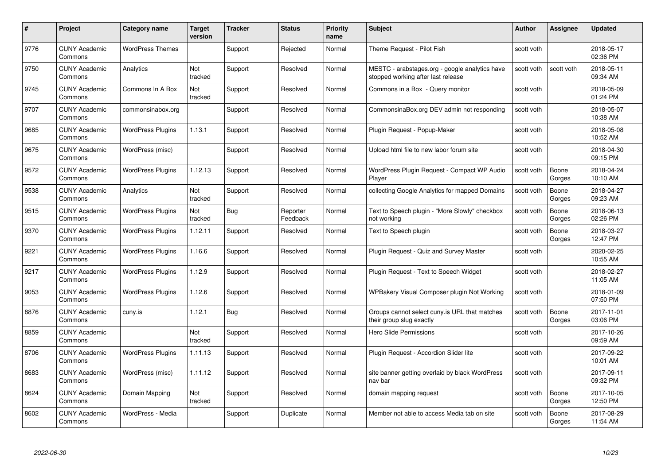| #    | Project                         | <b>Category name</b>     | Target<br>version | <b>Tracker</b> | <b>Status</b>        | <b>Priority</b><br>name | <b>Subject</b>                                                                       | <b>Author</b> | <b>Assignee</b> | <b>Updated</b>         |
|------|---------------------------------|--------------------------|-------------------|----------------|----------------------|-------------------------|--------------------------------------------------------------------------------------|---------------|-----------------|------------------------|
| 9776 | <b>CUNY Academic</b><br>Commons | <b>WordPress Themes</b>  |                   | Support        | Rejected             | Normal                  | Theme Request - Pilot Fish                                                           | scott voth    |                 | 2018-05-17<br>02:36 PM |
| 9750 | <b>CUNY Academic</b><br>Commons | Analytics                | Not<br>tracked    | Support        | Resolved             | Normal                  | MESTC - arabstages.org - google analytics have<br>stopped working after last release | scott voth    | scott voth      | 2018-05-11<br>09:34 AM |
| 9745 | <b>CUNY Academic</b><br>Commons | Commons In A Box         | Not<br>tracked    | Support        | Resolved             | Normal                  | Commons in a Box - Query monitor                                                     | scott voth    |                 | 2018-05-09<br>01:24 PM |
| 9707 | <b>CUNY Academic</b><br>Commons | commonsinabox.org        |                   | Support        | Resolved             | Normal                  | CommonsinaBox.org DEV admin not responding                                           | scott voth    |                 | 2018-05-07<br>10:38 AM |
| 9685 | CUNY Academic<br>Commons        | <b>WordPress Plugins</b> | 1.13.1            | Support        | Resolved             | Normal                  | Plugin Request - Popup-Maker                                                         | scott voth    |                 | 2018-05-08<br>10:52 AM |
| 9675 | <b>CUNY Academic</b><br>Commons | WordPress (misc)         |                   | Support        | Resolved             | Normal                  | Upload html file to new labor forum site                                             | scott voth    |                 | 2018-04-30<br>09:15 PM |
| 9572 | <b>CUNY Academic</b><br>Commons | <b>WordPress Plugins</b> | 1.12.13           | Support        | Resolved             | Normal                  | WordPress Plugin Request - Compact WP Audio<br>Player                                | scott voth    | Boone<br>Gorges | 2018-04-24<br>10:10 AM |
| 9538 | <b>CUNY Academic</b><br>Commons | Analytics                | Not<br>tracked    | Support        | Resolved             | Normal                  | collecting Google Analytics for mapped Domains                                       | scott voth    | Boone<br>Gorges | 2018-04-27<br>09:23 AM |
| 9515 | <b>CUNY Academic</b><br>Commons | <b>WordPress Plugins</b> | Not<br>tracked    | <b>Bug</b>     | Reporter<br>Feedback | Normal                  | Text to Speech plugin - "More Slowly" checkbox<br>not working                        | scott voth    | Boone<br>Gorges | 2018-06-13<br>02:26 PM |
| 9370 | <b>CUNY Academic</b><br>Commons | <b>WordPress Plugins</b> | 1.12.11           | Support        | Resolved             | Normal                  | Text to Speech plugin                                                                | scott voth    | Boone<br>Gorges | 2018-03-27<br>12:47 PM |
| 9221 | CUNY Academic<br>Commons        | <b>WordPress Plugins</b> | 1.16.6            | Support        | Resolved             | Normal                  | Plugin Request - Quiz and Survey Master                                              | scott voth    |                 | 2020-02-25<br>10:55 AM |
| 9217 | <b>CUNY Academic</b><br>Commons | <b>WordPress Plugins</b> | 1.12.9            | Support        | Resolved             | Normal                  | Plugin Request - Text to Speech Widget                                               | scott voth    |                 | 2018-02-27<br>11:05 AM |
| 9053 | <b>CUNY Academic</b><br>Commons | <b>WordPress Plugins</b> | 1.12.6            | Support        | Resolved             | Normal                  | WPBakery Visual Composer plugin Not Working                                          | scott voth    |                 | 2018-01-09<br>07:50 PM |
| 8876 | <b>CUNY Academic</b><br>Commons | cuny.is                  | 1.12.1            | Bug            | Resolved             | Normal                  | Groups cannot select cuny is URL that matches<br>their group slug exactly            | scott voth    | Boone<br>Gorges | 2017-11-01<br>03:06 PM |
| 8859 | <b>CUNY Academic</b><br>Commons |                          | Not<br>tracked    | Support        | Resolved             | Normal                  | Hero Slide Permissions                                                               | scott voth    |                 | 2017-10-26<br>09:59 AM |
| 8706 | <b>CUNY Academic</b><br>Commons | <b>WordPress Plugins</b> | 1.11.13           | Support        | Resolved             | Normal                  | Plugin Request - Accordion Slider lite                                               | scott voth    |                 | 2017-09-22<br>10:01 AM |
| 8683 | <b>CUNY Academic</b><br>Commons | WordPress (misc)         | 1.11.12           | Support        | Resolved             | Normal                  | site banner getting overlaid by black WordPress<br>nav bar                           | scott voth    |                 | 2017-09-11<br>09:32 PM |
| 8624 | <b>CUNY Academic</b><br>Commons | Domain Mapping           | Not<br>tracked    | Support        | Resolved             | Normal                  | domain mapping request                                                               | scott voth    | Boone<br>Gorges | 2017-10-05<br>12:50 PM |
| 8602 | CUNY Academic<br>Commons        | WordPress - Media        |                   | Support        | Duplicate            | Normal                  | Member not able to access Media tab on site                                          | scott voth    | Boone<br>Gorges | 2017-08-29<br>11:54 AM |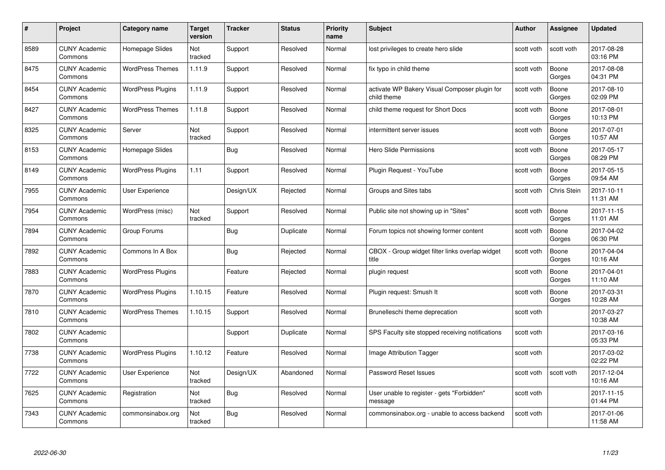| #    | Project                         | <b>Category name</b>     | Target<br>version | <b>Tracker</b> | <b>Status</b> | <b>Priority</b><br>name | <b>Subject</b>                                               | <b>Author</b> | <b>Assignee</b> | <b>Updated</b>         |
|------|---------------------------------|--------------------------|-------------------|----------------|---------------|-------------------------|--------------------------------------------------------------|---------------|-----------------|------------------------|
| 8589 | <b>CUNY Academic</b><br>Commons | Homepage Slides          | Not<br>tracked    | Support        | Resolved      | Normal                  | lost privileges to create hero slide                         | scott voth    | scott voth      | 2017-08-28<br>03:16 PM |
| 8475 | <b>CUNY Academic</b><br>Commons | <b>WordPress Themes</b>  | 1.11.9            | Support        | Resolved      | Normal                  | fix typo in child theme                                      | scott voth    | Boone<br>Gorges | 2017-08-08<br>04:31 PM |
| 8454 | <b>CUNY Academic</b><br>Commons | <b>WordPress Plugins</b> | 1.11.9            | Support        | Resolved      | Normal                  | activate WP Bakery Visual Composer plugin for<br>child theme | scott voth    | Boone<br>Gorges | 2017-08-10<br>02:09 PM |
| 8427 | <b>CUNY Academic</b><br>Commons | <b>WordPress Themes</b>  | 1.11.8            | Support        | Resolved      | Normal                  | child theme request for Short Docs                           | scott voth    | Boone<br>Gorges | 2017-08-01<br>10:13 PM |
| 8325 | <b>CUNY Academic</b><br>Commons | Server                   | Not<br>tracked    | Support        | Resolved      | Normal                  | intermittent server issues                                   | scott voth    | Boone<br>Gorges | 2017-07-01<br>10:57 AM |
| 8153 | <b>CUNY Academic</b><br>Commons | Homepage Slides          |                   | Bug            | Resolved      | Normal                  | Hero Slide Permissions                                       | scott voth    | Boone<br>Gorges | 2017-05-17<br>08:29 PM |
| 8149 | <b>CUNY Academic</b><br>Commons | <b>WordPress Plugins</b> | 1.11              | Support        | Resolved      | Normal                  | Plugin Request - YouTube                                     | scott voth    | Boone<br>Gorges | 2017-05-15<br>09:54 AM |
| 7955 | <b>CUNY Academic</b><br>Commons | <b>User Experience</b>   |                   | Design/UX      | Rejected      | Normal                  | Groups and Sites tabs                                        | scott voth    | Chris Stein     | 2017-10-11<br>11:31 AM |
| 7954 | <b>CUNY Academic</b><br>Commons | WordPress (misc)         | Not<br>tracked    | Support        | Resolved      | Normal                  | Public site not showing up in "Sites"                        | scott voth    | Boone<br>Gorges | 2017-11-15<br>11:01 AM |
| 7894 | <b>CUNY Academic</b><br>Commons | Group Forums             |                   | Bug            | Duplicate     | Normal                  | Forum topics not showing former content                      | scott voth    | Boone<br>Gorges | 2017-04-02<br>06:30 PM |
| 7892 | CUNY Academic<br>Commons        | Commons In A Box         |                   | Bug            | Rejected      | Normal                  | CBOX - Group widget filter links overlap widget<br>title     | scott voth    | Boone<br>Gorges | 2017-04-04<br>10:16 AM |
| 7883 | <b>CUNY Academic</b><br>Commons | <b>WordPress Plugins</b> |                   | Feature        | Rejected      | Normal                  | plugin request                                               | scott voth    | Boone<br>Gorges | 2017-04-01<br>11:10 AM |
| 7870 | <b>CUNY Academic</b><br>Commons | <b>WordPress Plugins</b> | 1.10.15           | Feature        | Resolved      | Normal                  | Plugin request: Smush It                                     | scott voth    | Boone<br>Gorges | 2017-03-31<br>10:28 AM |
| 7810 | <b>CUNY Academic</b><br>Commons | <b>WordPress Themes</b>  | 1.10.15           | Support        | Resolved      | Normal                  | Brunelleschi theme deprecation                               | scott voth    |                 | 2017-03-27<br>10:38 AM |
| 7802 | <b>CUNY Academic</b><br>Commons |                          |                   | Support        | Duplicate     | Normal                  | SPS Faculty site stopped receiving notifications             | scott voth    |                 | 2017-03-16<br>05:33 PM |
| 7738 | <b>CUNY Academic</b><br>Commons | <b>WordPress Plugins</b> | 1.10.12           | Feature        | Resolved      | Normal                  | Image Attribution Tagger                                     | scott voth    |                 | 2017-03-02<br>02:22 PM |
| 7722 | <b>CUNY Academic</b><br>Commons | User Experience          | Not<br>tracked    | Design/UX      | Abandoned     | Normal                  | Password Reset Issues                                        | scott voth    | scott voth      | 2017-12-04<br>10:16 AM |
| 7625 | <b>CUNY Academic</b><br>Commons | Registration             | Not<br>tracked    | <b>Bug</b>     | Resolved      | Normal                  | User unable to register - gets "Forbidden"<br>message        | scott voth    |                 | 2017-11-15<br>01:44 PM |
| 7343 | CUNY Academic<br>Commons        | commonsinabox.org        | Not<br>tracked    | <b>Bug</b>     | Resolved      | Normal                  | commonsinabox.org - unable to access backend                 | scott voth    |                 | 2017-01-06<br>11:58 AM |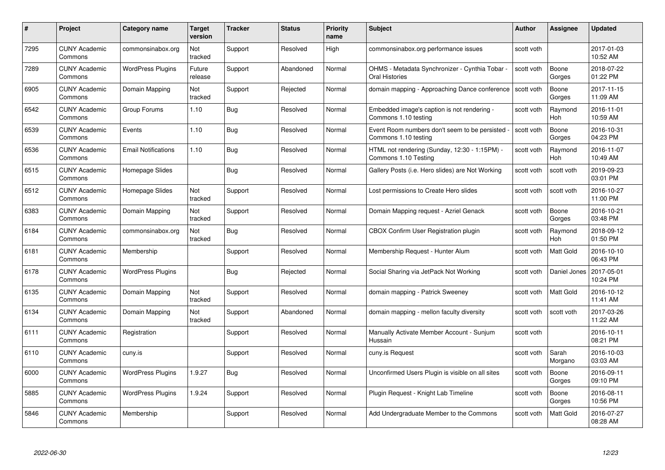| #    | Project                         | <b>Category name</b>       | Target<br>version     | <b>Tracker</b> | <b>Status</b> | <b>Priority</b><br>name | <b>Subject</b>                                                        | <b>Author</b> | <b>Assignee</b>       | <b>Updated</b>         |
|------|---------------------------------|----------------------------|-----------------------|----------------|---------------|-------------------------|-----------------------------------------------------------------------|---------------|-----------------------|------------------------|
| 7295 | <b>CUNY Academic</b><br>Commons | commonsinabox.org          | Not<br>tracked        | Support        | Resolved      | High                    | commonsinabox.org performance issues                                  | scott voth    |                       | 2017-01-03<br>10:52 AM |
| 7289 | <b>CUNY Academic</b><br>Commons | <b>WordPress Plugins</b>   | Future<br>release     | Support        | Abandoned     | Normal                  | OHMS - Metadata Synchronizer - Cynthia Tobar<br>Oral Histories        | scott voth    | Boone<br>Gorges       | 2018-07-22<br>01:22 PM |
| 6905 | <b>CUNY Academic</b><br>Commons | Domain Mapping             | Not<br>tracked        | Support        | Rejected      | Normal                  | domain mapping - Approaching Dance conference                         | scott voth    | Boone<br>Gorges       | 2017-11-15<br>11:09 AM |
| 6542 | <b>CUNY Academic</b><br>Commons | Group Forums               | 1.10                  | <b>Bug</b>     | Resolved      | Normal                  | Embedded image's caption is not rendering -<br>Commons 1.10 testing   | scott voth    | Raymond<br><b>Hoh</b> | 2016-11-01<br>10:59 AM |
| 6539 | <b>CUNY Academic</b><br>Commons | Events                     | 1.10                  | <b>Bug</b>     | Resolved      | Normal                  | Event Room numbers don't seem to be persisted<br>Commons 1.10 testing | scott voth    | Boone<br>Gorges       | 2016-10-31<br>04:23 PM |
| 6536 | <b>CUNY Academic</b><br>Commons | <b>Email Notifications</b> | 1.10                  | <b>Bug</b>     | Resolved      | Normal                  | HTML not rendering (Sunday, 12:30 - 1:15PM) -<br>Commons 1.10 Testing | scott voth    | Raymond<br>Hoh        | 2016-11-07<br>10:49 AM |
| 6515 | <b>CUNY Academic</b><br>Commons | Homepage Slides            |                       | <b>Bug</b>     | Resolved      | Normal                  | Gallery Posts (i.e. Hero slides) are Not Working                      | scott voth    | scott voth            | 2019-09-23<br>03:01 PM |
| 6512 | <b>CUNY Academic</b><br>Commons | Homepage Slides            | <b>Not</b><br>tracked | Support        | Resolved      | Normal                  | Lost permissions to Create Hero slides                                | scott voth    | scott voth            | 2016-10-27<br>11:00 PM |
| 6383 | <b>CUNY Academic</b><br>Commons | Domain Mapping             | Not<br>tracked        | Support        | Resolved      | Normal                  | Domain Mapping request - Azriel Genack                                | scott voth    | Boone<br>Gorges       | 2016-10-21<br>03:48 PM |
| 6184 | <b>CUNY Academic</b><br>Commons | commonsinabox.org          | Not<br>tracked        | <b>Bug</b>     | Resolved      | Normal                  | CBOX Confirm User Registration plugin                                 | scott voth    | Raymond<br>Hoh        | 2018-09-12<br>01:50 PM |
| 6181 | <b>CUNY Academic</b><br>Commons | Membership                 |                       | Support        | Resolved      | Normal                  | Membership Request - Hunter Alum                                      | scott voth    | <b>Matt Gold</b>      | 2016-10-10<br>06:43 PM |
| 6178 | <b>CUNY Academic</b><br>Commons | <b>WordPress Plugins</b>   |                       | <b>Bug</b>     | Rejected      | Normal                  | Social Sharing via JetPack Not Working                                | scott voth    | Daniel Jones          | 2017-05-01<br>10:24 PM |
| 6135 | <b>CUNY Academic</b><br>Commons | Domain Mapping             | Not<br>tracked        | Support        | Resolved      | Normal                  | domain mapping - Patrick Sweeney                                      | scott voth    | Matt Gold             | 2016-10-12<br>11:41 AM |
| 6134 | <b>CUNY Academic</b><br>Commons | Domain Mapping             | Not<br>tracked        | Support        | Abandoned     | Normal                  | domain mapping - mellon faculty diversity                             | scott voth    | scott voth            | 2017-03-26<br>11:22 AM |
| 6111 | CUNY Academic<br>Commons        | Registration               |                       | Support        | Resolved      | Normal                  | Manually Activate Member Account - Sunjum<br>Hussain                  | scott voth    |                       | 2016-10-11<br>08:21 PM |
| 6110 | <b>CUNY Academic</b><br>Commons | cuny.is                    |                       | Support        | Resolved      | Normal                  | cuny.is Request                                                       | scott voth    | Sarah<br>Morgano      | 2016-10-03<br>03:03 AM |
| 6000 | <b>CUNY Academic</b><br>Commons | <b>WordPress Plugins</b>   | 1.9.27                | Bug            | Resolved      | Normal                  | Unconfirmed Users Plugin is visible on all sites                      | scott voth    | Boone<br>Gorges       | 2016-09-11<br>09:10 PM |
| 5885 | <b>CUNY Academic</b><br>Commons | <b>WordPress Plugins</b>   | 1.9.24                | Support        | Resolved      | Normal                  | Plugin Request - Knight Lab Timeline                                  | scott voth    | Boone<br>Gorges       | 2016-08-11<br>10:56 PM |
| 5846 | CUNY Academic<br>Commons        | Membership                 |                       | Support        | Resolved      | Normal                  | Add Undergraduate Member to the Commons                               | scott voth    | Matt Gold             | 2016-07-27<br>08:28 AM |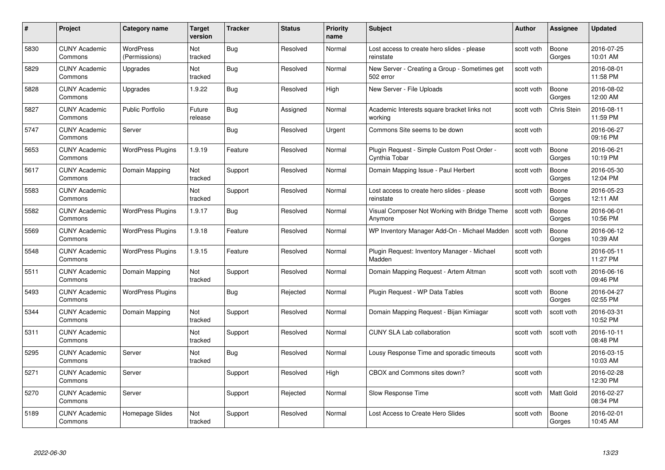| #    | Project                         | <b>Category name</b>              | Target<br>version     | <b>Tracker</b> | <b>Status</b> | <b>Priority</b><br>name | <b>Subject</b>                                               | <b>Author</b> | <b>Assignee</b> | <b>Updated</b>         |
|------|---------------------------------|-----------------------------------|-----------------------|----------------|---------------|-------------------------|--------------------------------------------------------------|---------------|-----------------|------------------------|
| 5830 | <b>CUNY Academic</b><br>Commons | <b>WordPress</b><br>(Permissions) | <b>Not</b><br>tracked | Bug            | Resolved      | Normal                  | Lost access to create hero slides - please<br>reinstate      | scott voth    | Boone<br>Gorges | 2016-07-25<br>10:01 AM |
| 5829 | <b>CUNY Academic</b><br>Commons | Upgrades                          | Not<br>tracked        | <b>Bug</b>     | Resolved      | Normal                  | New Server - Creating a Group - Sometimes get<br>502 error   | scott voth    |                 | 2016-08-01<br>11:58 PM |
| 5828 | <b>CUNY Academic</b><br>Commons | Upgrades                          | 1.9.22                | <b>Bug</b>     | Resolved      | High                    | New Server - File Uploads                                    | scott voth    | Boone<br>Gorges | 2016-08-02<br>12:00 AM |
| 5827 | <b>CUNY Academic</b><br>Commons | Public Portfolio                  | Future<br>release     | Bug            | Assigned      | Normal                  | Academic Interests square bracket links not<br>workina       | scott voth    | Chris Stein     | 2016-08-11<br>11:59 PM |
| 5747 | CUNY Academic<br>Commons        | Server                            |                       | <b>Bug</b>     | Resolved      | Urgent                  | Commons Site seems to be down                                | scott voth    |                 | 2016-06-27<br>09:16 PM |
| 5653 | <b>CUNY Academic</b><br>Commons | <b>WordPress Plugins</b>          | 1.9.19                | Feature        | Resolved      | Normal                  | Plugin Request - Simple Custom Post Order -<br>Cynthia Tobar | scott voth    | Boone<br>Gorges | 2016-06-21<br>10:19 PM |
| 5617 | <b>CUNY Academic</b><br>Commons | Domain Mapping                    | Not<br>tracked        | Support        | Resolved      | Normal                  | Domain Mapping Issue - Paul Herbert                          | scott voth    | Boone<br>Gorges | 2016-05-30<br>12:04 PM |
| 5583 | <b>CUNY Academic</b><br>Commons |                                   | Not<br>tracked        | Support        | Resolved      | Normal                  | Lost access to create hero slides - please<br>reinstate      | scott voth    | Boone<br>Gorges | 2016-05-23<br>12:11 AM |
| 5582 | <b>CUNY Academic</b><br>Commons | <b>WordPress Plugins</b>          | 1.9.17                | <b>Bug</b>     | Resolved      | Normal                  | Visual Composer Not Working with Bridge Theme<br>Anymore     | scott voth    | Boone<br>Gorges | 2016-06-01<br>10:56 PM |
| 5569 | <b>CUNY Academic</b><br>Commons | <b>WordPress Plugins</b>          | 1.9.18                | Feature        | Resolved      | Normal                  | WP Inventory Manager Add-On - Michael Madden                 | scott voth    | Boone<br>Gorges | 2016-06-12<br>10:39 AM |
| 5548 | CUNY Academic<br>Commons        | <b>WordPress Plugins</b>          | 1.9.15                | Feature        | Resolved      | Normal                  | Plugin Request: Inventory Manager - Michael<br>Madden        | scott voth    |                 | 2016-05-11<br>11:27 PM |
| 5511 | <b>CUNY Academic</b><br>Commons | Domain Mapping                    | Not<br>tracked        | Support        | Resolved      | Normal                  | Domain Mapping Request - Artem Altman                        | scott voth    | scott voth      | 2016-06-16<br>09:46 PM |
| 5493 | <b>CUNY Academic</b><br>Commons | <b>WordPress Plugins</b>          |                       | Bug            | Rejected      | Normal                  | Plugin Request - WP Data Tables                              | scott voth    | Boone<br>Gorges | 2016-04-27<br>02:55 PM |
| 5344 | <b>CUNY Academic</b><br>Commons | Domain Mapping                    | Not<br>tracked        | Support        | Resolved      | Normal                  | Domain Mapping Request - Bijan Kimiagar                      | scott voth    | scott voth      | 2016-03-31<br>10:52 PM |
| 5311 | <b>CUNY Academic</b><br>Commons |                                   | Not<br>tracked        | Support        | Resolved      | Normal                  | <b>CUNY SLA Lab collaboration</b>                            | scott voth    | scott voth      | 2016-10-11<br>08:48 PM |
| 5295 | <b>CUNY Academic</b><br>Commons | Server                            | Not<br>tracked        | <b>Bug</b>     | Resolved      | Normal                  | Lousy Response Time and sporadic timeouts                    | scott voth    |                 | 2016-03-15<br>10:03 AM |
| 5271 | <b>CUNY Academic</b><br>Commons | Server                            |                       | Support        | Resolved      | High                    | CBOX and Commons sites down?                                 | scott voth    |                 | 2016-02-28<br>12:30 PM |
| 5270 | <b>CUNY Academic</b><br>Commons | Server                            |                       | Support        | Rejected      | Normal                  | Slow Response Time                                           | scott voth    | Matt Gold       | 2016-02-27<br>08:34 PM |
| 5189 | CUNY Academic<br>Commons        | Homepage Slides                   | Not<br>tracked        | Support        | Resolved      | Normal                  | Lost Access to Create Hero Slides                            | scott voth    | Boone<br>Gorges | 2016-02-01<br>10:45 AM |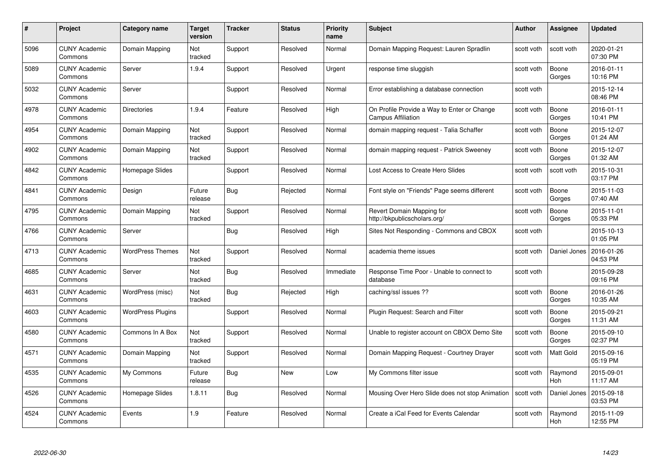| #    | Project                         | Category name            | Target<br>version | <b>Tracker</b> | <b>Status</b> | <b>Priority</b><br>name | <b>Subject</b>                                                           | Author     | <b>Assignee</b>       | <b>Updated</b>         |
|------|---------------------------------|--------------------------|-------------------|----------------|---------------|-------------------------|--------------------------------------------------------------------------|------------|-----------------------|------------------------|
| 5096 | <b>CUNY Academic</b><br>Commons | Domain Mapping           | Not<br>tracked    | Support        | Resolved      | Normal                  | Domain Mapping Request: Lauren Spradlin                                  | scott voth | scott voth            | 2020-01-21<br>07:30 PM |
| 5089 | <b>CUNY Academic</b><br>Commons | Server                   | 1.9.4             | Support        | Resolved      | Urgent                  | response time sluggish                                                   | scott voth | Boone<br>Gorges       | 2016-01-11<br>10:16 PM |
| 5032 | <b>CUNY Academic</b><br>Commons | Server                   |                   | Support        | Resolved      | Normal                  | Error establishing a database connection                                 | scott voth |                       | 2015-12-14<br>08:46 PM |
| 4978 | <b>CUNY Academic</b><br>Commons | <b>Directories</b>       | 1.9.4             | Feature        | Resolved      | High                    | On Profile Provide a Way to Enter or Change<br><b>Campus Affiliation</b> | scott voth | Boone<br>Gorges       | 2016-01-11<br>10:41 PM |
| 4954 | <b>CUNY Academic</b><br>Commons | Domain Mapping           | Not<br>tracked    | Support        | Resolved      | Normal                  | domain mapping request - Talia Schaffer                                  | scott voth | Boone<br>Gorges       | 2015-12-07<br>01:24 AM |
| 4902 | <b>CUNY Academic</b><br>Commons | Domain Mapping           | Not<br>tracked    | Support        | Resolved      | Normal                  | domain mapping request - Patrick Sweeney                                 | scott voth | Boone<br>Gorges       | 2015-12-07<br>01:32 AM |
| 4842 | <b>CUNY Academic</b><br>Commons | Homepage Slides          |                   | Support        | Resolved      | Normal                  | Lost Access to Create Hero Slides                                        | scott voth | scott voth            | 2015-10-31<br>03:17 PM |
| 4841 | <b>CUNY Academic</b><br>Commons | Design                   | Future<br>release | Bug            | Rejected      | Normal                  | Font style on "Friends" Page seems different                             | scott voth | Boone<br>Gorges       | 2015-11-03<br>07:40 AM |
| 4795 | <b>CUNY Academic</b><br>Commons | Domain Mapping           | Not<br>tracked    | Support        | Resolved      | Normal                  | Revert Domain Mapping for<br>http://bkpublicscholars.org/                | scott voth | Boone<br>Gorges       | 2015-11-01<br>05:33 PM |
| 4766 | <b>CUNY Academic</b><br>Commons | Server                   |                   | <b>Bug</b>     | Resolved      | High                    | Sites Not Responding - Commons and CBOX                                  | scott voth |                       | 2015-10-13<br>01:05 PM |
| 4713 | <b>CUNY Academic</b><br>Commons | <b>WordPress Themes</b>  | Not<br>tracked    | Support        | Resolved      | Normal                  | academia theme issues                                                    | scott voth | Daniel Jones          | 2016-01-26<br>04:53 PM |
| 4685 | <b>CUNY Academic</b><br>Commons | Server                   | Not<br>tracked    | <b>Bug</b>     | Resolved      | Immediate               | Response Time Poor - Unable to connect to<br>database                    | scott voth |                       | 2015-09-28<br>09:16 PM |
| 4631 | <b>CUNY Academic</b><br>Commons | WordPress (misc)         | Not<br>tracked    | <b>Bug</b>     | Rejected      | High                    | caching/ssl issues ??                                                    | scott voth | Boone<br>Gorges       | 2016-01-26<br>10:35 AM |
| 4603 | <b>CUNY Academic</b><br>Commons | <b>WordPress Plugins</b> |                   | Support        | Resolved      | Normal                  | Plugin Request: Search and Filter                                        | scott voth | Boone<br>Gorges       | 2015-09-21<br>11:31 AM |
| 4580 | <b>CUNY Academic</b><br>Commons | Commons In A Box         | Not<br>tracked    | Support        | Resolved      | Normal                  | Unable to register account on CBOX Demo Site                             | scott voth | Boone<br>Gorges       | 2015-09-10<br>02:37 PM |
| 4571 | <b>CUNY Academic</b><br>Commons | Domain Mapping           | Not<br>tracked    | Support        | Resolved      | Normal                  | Domain Mapping Request - Courtney Drayer                                 | scott voth | <b>Matt Gold</b>      | 2015-09-16<br>05:19 PM |
| 4535 | <b>CUNY Academic</b><br>Commons | My Commons               | Future<br>release | Bug            | <b>New</b>    | Low                     | My Commons filter issue                                                  | scott voth | Raymond<br><b>Hoh</b> | 2015-09-01<br>11:17 AM |
| 4526 | <b>CUNY Academic</b><br>Commons | Homepage Slides          | 1.8.11            | <b>Bug</b>     | Resolved      | Normal                  | Mousing Over Hero Slide does not stop Animation                          | scott voth | Daniel Jones          | 2015-09-18<br>03:53 PM |
| 4524 | <b>CUNY Academic</b><br>Commons | Events                   | 1.9               | Feature        | Resolved      | Normal                  | Create a iCal Feed for Events Calendar                                   | scott voth | Raymond<br>Hoh        | 2015-11-09<br>12:55 PM |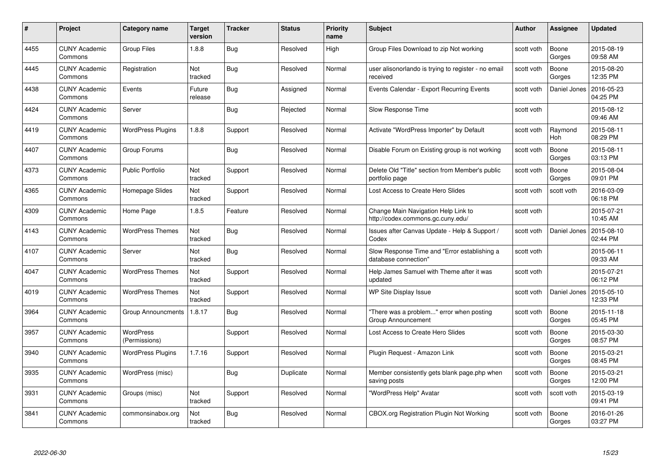| #    | Project                         | <b>Category name</b>       | Target<br>version | <b>Tracker</b> | <b>Status</b> | <b>Priority</b><br>name | <b>Subject</b>                                                           | <b>Author</b> | <b>Assignee</b> | <b>Updated</b>         |
|------|---------------------------------|----------------------------|-------------------|----------------|---------------|-------------------------|--------------------------------------------------------------------------|---------------|-----------------|------------------------|
| 4455 | <b>CUNY Academic</b><br>Commons | <b>Group Files</b>         | 1.8.8             | Bug            | Resolved      | High                    | Group Files Download to zip Not working                                  | scott voth    | Boone<br>Gorges | 2015-08-19<br>09:58 AM |
| 4445 | <b>CUNY Academic</b><br>Commons | Registration               | Not<br>tracked    | Bug            | Resolved      | Normal                  | user alisonorlando is trying to register - no email<br>received          | scott voth    | Boone<br>Gorges | 2015-08-20<br>12:35 PM |
| 4438 | <b>CUNY Academic</b><br>Commons | Events                     | Future<br>release | Bug            | Assigned      | Normal                  | Events Calendar - Export Recurring Events                                | scott voth    | Daniel Jones    | 2016-05-23<br>04:25 PM |
| 4424 | <b>CUNY Academic</b><br>Commons | Server                     |                   | Bug            | Rejected      | Normal                  | Slow Response Time                                                       | scott voth    |                 | 2015-08-12<br>09:46 AM |
| 4419 | <b>CUNY Academic</b><br>Commons | <b>WordPress Plugins</b>   | 1.8.8             | Support        | Resolved      | Normal                  | Activate "WordPress Importer" by Default                                 | scott voth    | Raymond<br>Hoh  | 2015-08-11<br>08:29 PM |
| 4407 | <b>CUNY Academic</b><br>Commons | Group Forums               |                   | Bug            | Resolved      | Normal                  | Disable Forum on Existing group is not working                           | scott voth    | Boone<br>Gorges | 2015-08-11<br>03:13 PM |
| 4373 | <b>CUNY Academic</b><br>Commons | <b>Public Portfolio</b>    | Not<br>tracked    | Support        | Resolved      | Normal                  | Delete Old "Title" section from Member's public<br>portfolio page        | scott voth    | Boone<br>Gorges | 2015-08-04<br>09:01 PM |
| 4365 | <b>CUNY Academic</b><br>Commons | Homepage Slides            | Not<br>tracked    | Support        | Resolved      | Normal                  | Lost Access to Create Hero Slides                                        | scott voth    | scott voth      | 2016-03-09<br>06:18 PM |
| 4309 | <b>CUNY Academic</b><br>Commons | Home Page                  | 1.8.5             | Feature        | Resolved      | Normal                  | Change Main Navigation Help Link to<br>http://codex.commons.gc.cuny.edu/ | scott voth    |                 | 2015-07-21<br>10:45 AM |
| 4143 | <b>CUNY Academic</b><br>Commons | <b>WordPress Themes</b>    | Not<br>tracked    | <b>Bug</b>     | Resolved      | Normal                  | Issues after Canvas Update - Help & Support /<br>Codex                   | scott voth    | Daniel Jones    | 2015-08-10<br>02:44 PM |
| 4107 | <b>CUNY Academic</b><br>Commons | Server                     | Not<br>tracked    | <b>Bug</b>     | Resolved      | Normal                  | Slow Response Time and "Error establishing a<br>database connection"     | scott voth    |                 | 2015-06-11<br>09:33 AM |
| 4047 | <b>CUNY Academic</b><br>Commons | <b>WordPress Themes</b>    | Not<br>tracked    | Support        | Resolved      | Normal                  | Help James Samuel with Theme after it was<br>updated                     | scott voth    |                 | 2015-07-21<br>06:12 PM |
| 4019 | <b>CUNY Academic</b><br>Commons | <b>WordPress Themes</b>    | Not<br>tracked    | Support        | Resolved      | Normal                  | WP Site Display Issue                                                    | scott voth    | Daniel Jones    | 2015-05-10<br>12:33 PM |
| 3964 | <b>CUNY Academic</b><br>Commons | <b>Group Announcments</b>  | 1.8.17            | Bug            | Resolved      | Normal                  | "There was a problem" error when posting<br>Group Announcement           | scott voth    | Boone<br>Gorges | 2015-11-18<br>05:45 PM |
| 3957 | CUNY Academic<br>Commons        | WordPress<br>(Permissions) |                   | Support        | Resolved      | Normal                  | Lost Access to Create Hero Slides                                        | scott voth    | Boone<br>Gorges | 2015-03-30<br>08:57 PM |
| 3940 | <b>CUNY Academic</b><br>Commons | <b>WordPress Plugins</b>   | 1.7.16            | Support        | Resolved      | Normal                  | Plugin Request - Amazon Link                                             | scott voth    | Boone<br>Gorges | 2015-03-21<br>08:45 PM |
| 3935 | <b>CUNY Academic</b><br>Commons | WordPress (misc)           |                   | Bug            | Duplicate     | Normal                  | Member consistently gets blank page.php when<br>saving posts             | scott voth    | Boone<br>Gorges | 2015-03-21<br>12:00 PM |
| 3931 | <b>CUNY Academic</b><br>Commons | Groups (misc)              | Not<br>tracked    | Support        | Resolved      | Normal                  | "WordPress Help" Avatar                                                  | scott voth    | scott voth      | 2015-03-19<br>09:41 PM |
| 3841 | CUNY Academic<br>Commons        | commonsinabox.org          | Not<br>tracked    | <b>Bug</b>     | Resolved      | Normal                  | CBOX.org Registration Plugin Not Working                                 | scott voth    | Boone<br>Gorges | 2016-01-26<br>03:27 PM |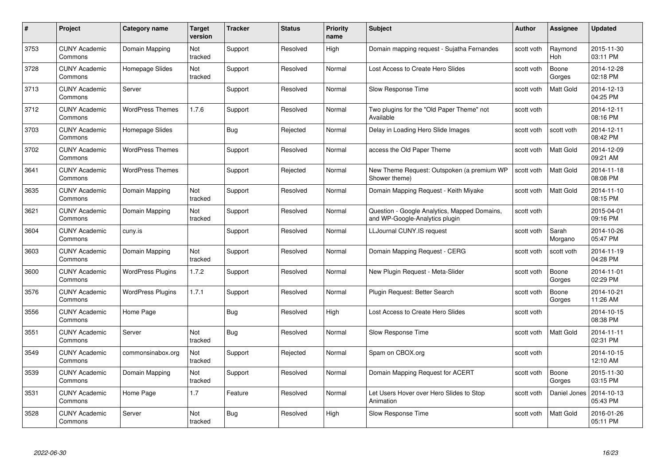| #    | Project                         | Category name            | Target<br>version | <b>Tracker</b> | <b>Status</b> | <b>Priority</b><br>name | <b>Subject</b>                                                                 | Author     | Assignee              | <b>Updated</b>         |
|------|---------------------------------|--------------------------|-------------------|----------------|---------------|-------------------------|--------------------------------------------------------------------------------|------------|-----------------------|------------------------|
| 3753 | <b>CUNY Academic</b><br>Commons | Domain Mapping           | Not<br>tracked    | Support        | Resolved      | High                    | Domain mapping request - Sujatha Fernandes                                     | scott voth | Raymond<br><b>Hoh</b> | 2015-11-30<br>03:11 PM |
| 3728 | <b>CUNY Academic</b><br>Commons | Homepage Slides          | Not<br>tracked    | Support        | Resolved      | Normal                  | Lost Access to Create Hero Slides                                              | scott voth | Boone<br>Gorges       | 2014-12-28<br>02:18 PM |
| 3713 | <b>CUNY Academic</b><br>Commons | Server                   |                   | Support        | Resolved      | Normal                  | Slow Response Time                                                             | scott voth | Matt Gold             | 2014-12-13<br>04:25 PM |
| 3712 | <b>CUNY Academic</b><br>Commons | <b>WordPress Themes</b>  | 1.7.6             | Support        | Resolved      | Normal                  | Two plugins for the "Old Paper Theme" not<br>Available                         | scott voth |                       | 2014-12-11<br>08:16 PM |
| 3703 | <b>CUNY Academic</b><br>Commons | Homepage Slides          |                   | Bug            | Rejected      | Normal                  | Delay in Loading Hero Slide Images                                             | scott voth | scott voth            | 2014-12-11<br>08:42 PM |
| 3702 | <b>CUNY Academic</b><br>Commons | <b>WordPress Themes</b>  |                   | Support        | Resolved      | Normal                  | access the Old Paper Theme                                                     | scott voth | <b>Matt Gold</b>      | 2014-12-09<br>09:21 AM |
| 3641 | <b>CUNY Academic</b><br>Commons | <b>WordPress Themes</b>  |                   | Support        | Rejected      | Normal                  | New Theme Request: Outspoken (a premium WP<br>Shower theme)                    | scott voth | Matt Gold             | 2014-11-18<br>08:08 PM |
| 3635 | <b>CUNY Academic</b><br>Commons | Domain Mapping           | Not<br>tracked    | Support        | Resolved      | Normal                  | Domain Mapping Request - Keith Miyake                                          | scott voth | Matt Gold             | 2014-11-10<br>08:15 PM |
| 3621 | <b>CUNY Academic</b><br>Commons | Domain Mapping           | Not<br>tracked    | Support        | Resolved      | Normal                  | Question - Google Analytics, Mapped Domains,<br>and WP-Google-Analytics plugin | scott voth |                       | 2015-04-01<br>09:16 PM |
| 3604 | <b>CUNY Academic</b><br>Commons | cuny.is                  |                   | Support        | Resolved      | Normal                  | <b>LLJournal CUNY.IS request</b>                                               | scott voth | Sarah<br>Morgano      | 2014-10-26<br>05:47 PM |
| 3603 | <b>CUNY Academic</b><br>Commons | Domain Mapping           | Not<br>tracked    | Support        | Resolved      | Normal                  | Domain Mapping Request - CERG                                                  | scott voth | scott voth            | 2014-11-19<br>04:28 PM |
| 3600 | <b>CUNY Academic</b><br>Commons | <b>WordPress Plugins</b> | 1.7.2             | Support        | Resolved      | Normal                  | New Plugin Request - Meta-Slider                                               | scott voth | Boone<br>Gorges       | 2014-11-01<br>02:29 PM |
| 3576 | <b>CUNY Academic</b><br>Commons | <b>WordPress Plugins</b> | 1.7.1             | Support        | Resolved      | Normal                  | Plugin Request: Better Search                                                  | scott voth | Boone<br>Gorges       | 2014-10-21<br>11:26 AM |
| 3556 | <b>CUNY Academic</b><br>Commons | Home Page                |                   | Bug            | Resolved      | High                    | Lost Access to Create Hero Slides                                              | scott voth |                       | 2014-10-15<br>08:38 PM |
| 3551 | <b>CUNY Academic</b><br>Commons | Server                   | Not<br>tracked    | Bug            | Resolved      | Normal                  | Slow Response Time                                                             | scott voth | Matt Gold             | 2014-11-11<br>02:31 PM |
| 3549 | <b>CUNY Academic</b><br>Commons | commonsinabox.org        | Not<br>tracked    | Support        | Rejected      | Normal                  | Spam on CBOX.org                                                               | scott voth |                       | 2014-10-15<br>12:10 AM |
| 3539 | <b>CUNY Academic</b><br>Commons | Domain Mapping           | Not<br>tracked    | Support        | Resolved      | Normal                  | Domain Mapping Request for ACERT                                               | scott voth | Boone<br>Gorges       | 2015-11-30<br>03:15 PM |
| 3531 | <b>CUNY Academic</b><br>Commons | Home Page                | 1.7               | Feature        | Resolved      | Normal                  | Let Users Hover over Hero Slides to Stop<br>Animation                          | scott voth | Daniel Jones          | 2014-10-13<br>05:43 PM |
| 3528 | <b>CUNY Academic</b><br>Commons | Server                   | Not<br>tracked    | <b>Bug</b>     | Resolved      | High                    | Slow Response Time                                                             | scott voth | <b>Matt Gold</b>      | 2016-01-26<br>05:11 PM |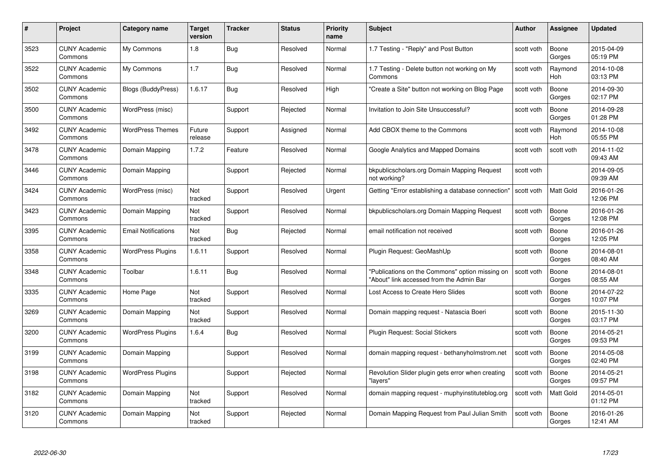| #    | Project                         | Category name              | Target<br>version | <b>Tracker</b> | <b>Status</b> | <b>Priority</b><br>name | <b>Subject</b>                                                                              | <b>Author</b> | <b>Assignee</b>       | <b>Updated</b>         |
|------|---------------------------------|----------------------------|-------------------|----------------|---------------|-------------------------|---------------------------------------------------------------------------------------------|---------------|-----------------------|------------------------|
| 3523 | <b>CUNY Academic</b><br>Commons | My Commons                 | 1.8               | Bug            | Resolved      | Normal                  | 1.7 Testing - "Reply" and Post Button                                                       | scott voth    | Boone<br>Gorges       | 2015-04-09<br>05:19 PM |
| 3522 | <b>CUNY Academic</b><br>Commons | My Commons                 | 1.7               | <b>Bug</b>     | Resolved      | Normal                  | 1.7 Testing - Delete button not working on My<br>Commons                                    | scott voth    | Raymond<br><b>Hoh</b> | 2014-10-08<br>03:13 PM |
| 3502 | <b>CUNY Academic</b><br>Commons | <b>Blogs (BuddyPress)</b>  | 1.6.17            | <b>Bug</b>     | Resolved      | High                    | "Create a Site" button not working on Blog Page                                             | scott voth    | Boone<br>Gorges       | 2014-09-30<br>02:17 PM |
| 3500 | <b>CUNY Academic</b><br>Commons | WordPress (misc)           |                   | Support        | Rejected      | Normal                  | Invitation to Join Site Unsuccessful?                                                       | scott voth    | Boone<br>Gorges       | 2014-09-28<br>01:28 PM |
| 3492 | <b>CUNY Academic</b><br>Commons | <b>WordPress Themes</b>    | Future<br>release | Support        | Assigned      | Normal                  | Add CBOX theme to the Commons                                                               | scott voth    | Raymond<br>Hoh        | 2014-10-08<br>05:55 PM |
| 3478 | <b>CUNY Academic</b><br>Commons | Domain Mapping             | 1.7.2             | Feature        | Resolved      | Normal                  | Google Analytics and Mapped Domains                                                         | scott voth    | scott voth            | 2014-11-02<br>09:43 AM |
| 3446 | <b>CUNY Academic</b><br>Commons | Domain Mapping             |                   | Support        | Rejected      | Normal                  | bkpublicscholars.org Domain Mapping Request<br>not working?                                 | scott voth    |                       | 2014-09-05<br>09:39 AM |
| 3424 | <b>CUNY Academic</b><br>Commons | WordPress (misc)           | Not<br>tracked    | Support        | Resolved      | Urgent                  | Getting "Error establishing a database connection"                                          | scott voth    | Matt Gold             | 2016-01-26<br>12:06 PM |
| 3423 | <b>CUNY Academic</b><br>Commons | Domain Mapping             | Not<br>tracked    | Support        | Resolved      | Normal                  | bkpublicscholars.org Domain Mapping Request                                                 | scott voth    | Boone<br>Gorges       | 2016-01-26<br>12:08 PM |
| 3395 | <b>CUNY Academic</b><br>Commons | <b>Email Notifications</b> | Not<br>tracked    | <b>Bug</b>     | Rejected      | Normal                  | email notification not received                                                             | scott voth    | Boone<br>Gorges       | 2016-01-26<br>12:05 PM |
| 3358 | <b>CUNY Academic</b><br>Commons | <b>WordPress Plugins</b>   | 1.6.11            | Support        | Resolved      | Normal                  | Plugin Request: GeoMashUp                                                                   | scott voth    | Boone<br>Gorges       | 2014-08-01<br>08:40 AM |
| 3348 | <b>CUNY Academic</b><br>Commons | Toolbar                    | 1.6.11            | <b>Bug</b>     | Resolved      | Normal                  | "Publications on the Commons" option missing on<br>"About" link accessed from the Admin Bar | scott voth    | Boone<br>Gorges       | 2014-08-01<br>08:55 AM |
| 3335 | <b>CUNY Academic</b><br>Commons | Home Page                  | Not<br>tracked    | Support        | Resolved      | Normal                  | Lost Access to Create Hero Slides                                                           | scott voth    | Boone<br>Gorges       | 2014-07-22<br>10:07 PM |
| 3269 | <b>CUNY Academic</b><br>Commons | Domain Mapping             | Not<br>tracked    | Support        | Resolved      | Normal                  | Domain mapping request - Natascia Boeri                                                     | scott voth    | Boone<br>Gorges       | 2015-11-30<br>03:17 PM |
| 3200 | <b>CUNY Academic</b><br>Commons | <b>WordPress Plugins</b>   | 1.6.4             | Bug            | Resolved      | Normal                  | Plugin Request: Social Stickers                                                             | scott voth    | Boone<br>Gorges       | 2014-05-21<br>09:53 PM |
| 3199 | <b>CUNY Academic</b><br>Commons | Domain Mapping             |                   | Support        | Resolved      | Normal                  | domain mapping request - bethanyholmstrom.net                                               | scott voth    | Boone<br>Gorges       | 2014-05-08<br>02:40 PM |
| 3198 | <b>CUNY Academic</b><br>Commons | <b>WordPress Plugins</b>   |                   | Support        | Rejected      | Normal                  | Revolution Slider plugin gets error when creating<br>"lavers"                               | scott voth    | Boone<br>Gorges       | 2014-05-21<br>09:57 PM |
| 3182 | <b>CUNY Academic</b><br>Commons | Domain Mapping             | Not<br>tracked    | Support        | Resolved      | Normal                  | domain mapping request - muphyinstituteblog.org                                             | scott voth    | Matt Gold             | 2014-05-01<br>01:12 PM |
| 3120 | CUNY Academic<br>Commons        | Domain Mapping             | Not<br>tracked    | Support        | Rejected      | Normal                  | Domain Mapping Request from Paul Julian Smith                                               | scott voth    | Boone<br>Gorges       | 2016-01-26<br>12:41 AM |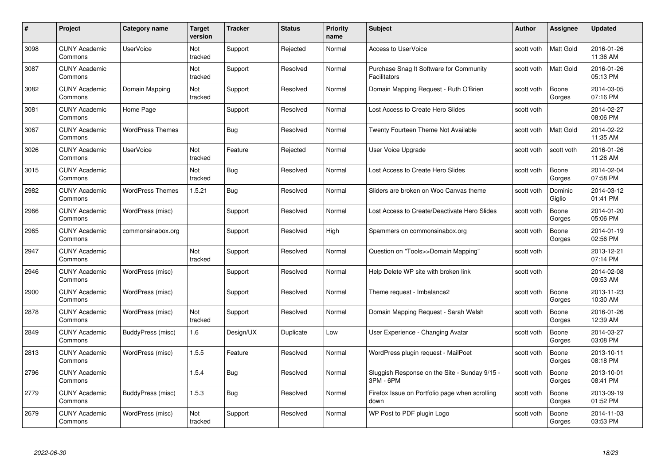| #    | Project                         | <b>Category name</b>    | Target<br>version | <b>Tracker</b> | <b>Status</b> | <b>Priority</b><br>name | <b>Subject</b>                                                 | <b>Author</b> | <b>Assignee</b>   | <b>Updated</b>         |
|------|---------------------------------|-------------------------|-------------------|----------------|---------------|-------------------------|----------------------------------------------------------------|---------------|-------------------|------------------------|
| 3098 | <b>CUNY Academic</b><br>Commons | <b>UserVoice</b>        | Not<br>tracked    | Support        | Rejected      | Normal                  | <b>Access to UserVoice</b>                                     | scott voth    | <b>Matt Gold</b>  | 2016-01-26<br>11:36 AM |
| 3087 | <b>CUNY Academic</b><br>Commons |                         | Not<br>tracked    | Support        | Resolved      | Normal                  | Purchase Snag It Software for Community<br><b>Facilitators</b> | scott voth    | <b>Matt Gold</b>  | 2016-01-26<br>05:13 PM |
| 3082 | <b>CUNY Academic</b><br>Commons | Domain Mapping          | Not<br>tracked    | Support        | Resolved      | Normal                  | Domain Mapping Request - Ruth O'Brien                          | scott voth    | Boone<br>Gorges   | 2014-03-05<br>07:16 PM |
| 3081 | <b>CUNY Academic</b><br>Commons | Home Page               |                   | Support        | Resolved      | Normal                  | Lost Access to Create Hero Slides                              | scott voth    |                   | 2014-02-27<br>08:06 PM |
| 3067 | CUNY Academic<br>Commons        | <b>WordPress Themes</b> |                   | <b>Bug</b>     | Resolved      | Normal                  | Twenty Fourteen Theme Not Available                            | scott voth    | <b>Matt Gold</b>  | 2014-02-22<br>11:35 AM |
| 3026 | <b>CUNY Academic</b><br>Commons | <b>UserVoice</b>        | Not<br>tracked    | Feature        | Rejected      | Normal                  | User Voice Upgrade                                             | scott voth    | scott voth        | 2016-01-26<br>11:26 AM |
| 3015 | <b>CUNY Academic</b><br>Commons |                         | Not<br>tracked    | Bug            | Resolved      | Normal                  | Lost Access to Create Hero Slides                              | scott voth    | Boone<br>Gorges   | 2014-02-04<br>07:58 PM |
| 2982 | <b>CUNY Academic</b><br>Commons | <b>WordPress Themes</b> | 1.5.21            | Bug            | Resolved      | Normal                  | Sliders are broken on Woo Canvas theme                         | scott voth    | Dominic<br>Giglio | 2014-03-12<br>01:41 PM |
| 2966 | <b>CUNY Academic</b><br>Commons | WordPress (misc)        |                   | Support        | Resolved      | Normal                  | Lost Access to Create/Deactivate Hero Slides                   | scott voth    | Boone<br>Gorges   | 2014-01-20<br>05:06 PM |
| 2965 | <b>CUNY Academic</b><br>Commons | commonsinabox.org       |                   | Support        | Resolved      | High                    | Spammers on commonsinabox.org                                  | scott voth    | Boone<br>Gorges   | 2014-01-19<br>02:56 PM |
| 2947 | CUNY Academic<br>Commons        |                         | Not<br>tracked    | Support        | Resolved      | Normal                  | Question on "Tools>>Domain Mapping"                            | scott voth    |                   | 2013-12-21<br>07:14 PM |
| 2946 | <b>CUNY Academic</b><br>Commons | WordPress (misc)        |                   | Support        | Resolved      | Normal                  | Help Delete WP site with broken link                           | scott voth    |                   | 2014-02-08<br>09:53 AM |
| 2900 | <b>CUNY Academic</b><br>Commons | WordPress (misc)        |                   | Support        | Resolved      | Normal                  | Theme request - Imbalance2                                     | scott voth    | Boone<br>Gorges   | 2013-11-23<br>10:30 AM |
| 2878 | <b>CUNY Academic</b><br>Commons | WordPress (misc)        | Not<br>tracked    | Support        | Resolved      | Normal                  | Domain Mapping Request - Sarah Welsh                           | scott voth    | Boone<br>Gorges   | 2016-01-26<br>12:39 AM |
| 2849 | <b>CUNY Academic</b><br>Commons | BuddyPress (misc)       | 1.6               | Design/UX      | Duplicate     | Low                     | User Experience - Changing Avatar                              | scott voth    | Boone<br>Gorges   | 2014-03-27<br>03:08 PM |
| 2813 | <b>CUNY Academic</b><br>Commons | WordPress (misc)        | 1.5.5             | Feature        | Resolved      | Normal                  | WordPress plugin request - MailPoet                            | scott voth    | Boone<br>Gorges   | 2013-10-11<br>08:18 PM |
| 2796 | <b>CUNY Academic</b><br>Commons |                         | 1.5.4             | Bug            | Resolved      | Normal                  | Sluggish Response on the Site - Sunday 9/15 -<br>3PM - 6PM     | scott voth    | Boone<br>Gorges   | 2013-10-01<br>08:41 PM |
| 2779 | <b>CUNY Academic</b><br>Commons | BuddyPress (misc)       | 1.5.3             | <b>Bug</b>     | Resolved      | Normal                  | Firefox Issue on Portfolio page when scrolling<br>down         | scott voth    | Boone<br>Gorges   | 2013-09-19<br>01:52 PM |
| 2679 | CUNY Academic<br>Commons        | WordPress (misc)        | Not<br>tracked    | Support        | Resolved      | Normal                  | WP Post to PDF plugin Logo                                     | scott voth    | Boone<br>Gorges   | 2014-11-03<br>03:53 PM |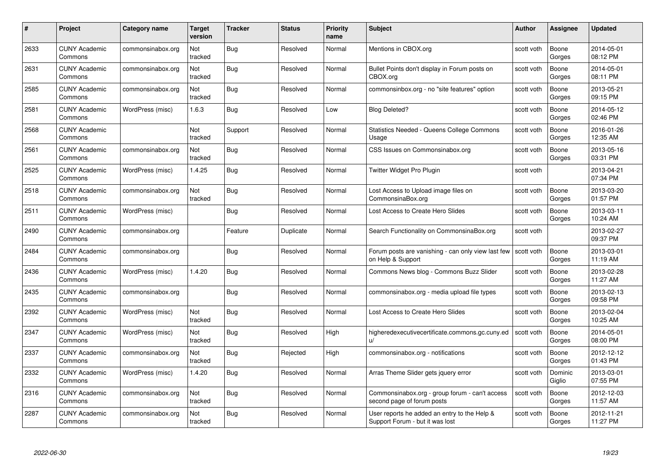| #    | Project                         | <b>Category name</b> | Target<br>version | <b>Tracker</b> | <b>Status</b> | <b>Priority</b><br>name | <b>Subject</b>                                                                  | Author     | Assignee          | <b>Updated</b>         |
|------|---------------------------------|----------------------|-------------------|----------------|---------------|-------------------------|---------------------------------------------------------------------------------|------------|-------------------|------------------------|
| 2633 | <b>CUNY Academic</b><br>Commons | commonsinabox.org    | Not<br>tracked    | Bug            | Resolved      | Normal                  | Mentions in CBOX.org                                                            | scott voth | Boone<br>Gorges   | 2014-05-01<br>08:12 PM |
| 2631 | <b>CUNY Academic</b><br>Commons | commonsinabox.org    | Not<br>tracked    | Bug            | Resolved      | Normal                  | Bullet Points don't display in Forum posts on<br>CBOX.org                       | scott voth | Boone<br>Gorges   | 2014-05-01<br>08:11 PM |
| 2585 | <b>CUNY Academic</b><br>Commons | commonsinabox.org    | Not<br>tracked    | <b>Bug</b>     | Resolved      | Normal                  | commonsinbox.org - no "site features" option                                    | scott voth | Boone<br>Gorges   | 2013-05-21<br>09:15 PM |
| 2581 | <b>CUNY Academic</b><br>Commons | WordPress (misc)     | 1.6.3             | Bug            | Resolved      | Low                     | <b>Blog Deleted?</b>                                                            | scott voth | Boone<br>Gorges   | 2014-05-12<br>02:46 PM |
| 2568 | <b>CUNY Academic</b><br>Commons |                      | Not<br>tracked    | Support        | Resolved      | Normal                  | <b>Statistics Needed - Queens College Commons</b><br>Usage                      | scott voth | Boone<br>Gorges   | 2016-01-26<br>12:35 AM |
| 2561 | <b>CUNY Academic</b><br>Commons | commonsinabox.org    | Not<br>tracked    | Bug            | Resolved      | Normal                  | CSS Issues on Commonsinabox.org                                                 | scott voth | Boone<br>Gorges   | 2013-05-16<br>03:31 PM |
| 2525 | <b>CUNY Academic</b><br>Commons | WordPress (misc)     | 1.4.25            | Bug            | Resolved      | Normal                  | Twitter Widget Pro Plugin                                                       | scott voth |                   | 2013-04-21<br>07:34 PM |
| 2518 | <b>CUNY Academic</b><br>Commons | commonsinabox.org    | Not<br>tracked    | Bug            | Resolved      | Normal                  | Lost Access to Upload image files on<br>CommonsinaBox.org                       | scott voth | Boone<br>Gorges   | 2013-03-20<br>01:57 PM |
| 2511 | <b>CUNY Academic</b><br>Commons | WordPress (misc)     |                   | Bug            | Resolved      | Normal                  | Lost Access to Create Hero Slides                                               | scott voth | Boone<br>Gorges   | 2013-03-11<br>10:24 AM |
| 2490 | <b>CUNY Academic</b><br>Commons | commonsinabox.org    |                   | Feature        | Duplicate     | Normal                  | Search Functionality on CommonsinaBox.org                                       | scott voth |                   | 2013-02-27<br>09:37 PM |
| 2484 | <b>CUNY Academic</b><br>Commons | commonsinabox.org    |                   | Bug            | Resolved      | Normal                  | Forum posts are vanishing - can only view last few<br>on Help & Support         | scott voth | Boone<br>Gorges   | 2013-03-01<br>11:19 AM |
| 2436 | <b>CUNY Academic</b><br>Commons | WordPress (misc)     | 1.4.20            | Bug            | Resolved      | Normal                  | Commons News blog - Commons Buzz Slider                                         | scott voth | Boone<br>Gorges   | 2013-02-28<br>11:27 AM |
| 2435 | <b>CUNY Academic</b><br>Commons | commonsinabox.org    |                   | Bug            | Resolved      | Normal                  | commonsinabox.org - media upload file types                                     | scott voth | Boone<br>Gorges   | 2013-02-13<br>09:58 PM |
| 2392 | <b>CUNY Academic</b><br>Commons | WordPress (misc)     | Not<br>tracked    | Bug            | Resolved      | Normal                  | Lost Access to Create Hero Slides                                               | scott voth | Boone<br>Gorges   | 2013-02-04<br>10:25 AM |
| 2347 | <b>CUNY Academic</b><br>Commons | WordPress (misc)     | Not<br>tracked    | Bug            | Resolved      | High                    | higheredexecutivecertificate.commons.gc.cuny.ed<br>$\mathsf{u}/$                | scott voth | Boone<br>Gorges   | 2014-05-01<br>08:00 PM |
| 2337 | <b>CUNY Academic</b><br>Commons | commonsinabox.org    | Not<br>tracked    | <b>Bug</b>     | Rejected      | High                    | commonsinabox.org - notifications                                               | scott voth | Boone<br>Gorges   | 2012-12-12<br>01:43 PM |
| 2332 | <b>CUNY Academic</b><br>Commons | WordPress (misc)     | 1.4.20            | Bug            | Resolved      | Normal                  | Arras Theme Slider gets jquery error                                            | scott voth | Dominic<br>Giglio | 2013-03-01<br>07:55 PM |
| 2316 | <b>CUNY Academic</b><br>Commons | commonsinabox.org    | Not<br>tracked    | Bug            | Resolved      | Normal                  | Commonsinabox.org - group forum - can't access<br>second page of forum posts    | scott voth | Boone<br>Gorges   | 2012-12-03<br>11:57 AM |
| 2287 | CUNY Academic<br>Commons        | commonsinabox.org    | Not<br>tracked    | <b>Bug</b>     | Resolved      | Normal                  | User reports he added an entry to the Help &<br>Support Forum - but it was lost | scott voth | Boone<br>Gorges   | 2012-11-21<br>11:27 PM |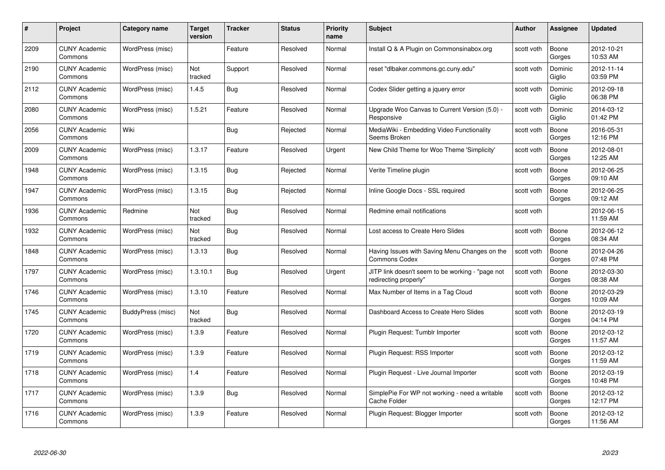| #    | Project                         | <b>Category name</b> | Target<br>version | <b>Tracker</b> | <b>Status</b> | <b>Priority</b><br>name | <b>Subject</b>                                                            | <b>Author</b> | <b>Assignee</b>   | <b>Updated</b>         |
|------|---------------------------------|----------------------|-------------------|----------------|---------------|-------------------------|---------------------------------------------------------------------------|---------------|-------------------|------------------------|
| 2209 | <b>CUNY Academic</b><br>Commons | WordPress (misc)     |                   | Feature        | Resolved      | Normal                  | Install Q & A Plugin on Commonsinabox.org                                 | scott voth    | Boone<br>Gorges   | 2012-10-21<br>10:53 AM |
| 2190 | <b>CUNY Academic</b><br>Commons | WordPress (misc)     | Not<br>tracked    | Support        | Resolved      | Normal                  | reset "dlbaker.commons.gc.cuny.edu"                                       | scott voth    | Dominic<br>Giglio | 2012-11-14<br>03:59 PM |
| 2112 | <b>CUNY Academic</b><br>Commons | WordPress (misc)     | 1.4.5             | <b>Bug</b>     | Resolved      | Normal                  | Codex Slider getting a jquery error                                       | scott voth    | Dominic<br>Giglio | 2012-09-18<br>06:38 PM |
| 2080 | <b>CUNY Academic</b><br>Commons | WordPress (misc)     | 1.5.21            | Feature        | Resolved      | Normal                  | Upgrade Woo Canvas to Current Version (5.0) -<br>Responsive               | scott voth    | Dominic<br>Giglio | 2014-03-12<br>01:42 PM |
| 2056 | <b>CUNY Academic</b><br>Commons | Wiki                 |                   | Bug            | Rejected      | Normal                  | MediaWiki - Embedding Video Functionality<br>Seems Broken                 | scott voth    | Boone<br>Gorges   | 2016-05-31<br>12:16 PM |
| 2009 | <b>CUNY Academic</b><br>Commons | WordPress (misc)     | 1.3.17            | Feature        | Resolved      | Urgent                  | New Child Theme for Woo Theme 'Simplicity'                                | scott voth    | Boone<br>Gorges   | 2012-08-01<br>12:25 AM |
| 1948 | <b>CUNY Academic</b><br>Commons | WordPress (misc)     | 1.3.15            | Bug            | Rejected      | Normal                  | Verite Timeline plugin                                                    | scott voth    | Boone<br>Gorges   | 2012-06-25<br>09:10 AM |
| 1947 | <b>CUNY Academic</b><br>Commons | WordPress (misc)     | 1.3.15            | <b>Bug</b>     | Rejected      | Normal                  | Inline Google Docs - SSL required                                         | scott voth    | Boone<br>Gorges   | 2012-06-25<br>09:12 AM |
| 1936 | <b>CUNY Academic</b><br>Commons | Redmine              | Not<br>tracked    | Bug            | Resolved      | Normal                  | Redmine email notifications                                               | scott voth    |                   | 2012-06-15<br>11:59 AM |
| 1932 | <b>CUNY Academic</b><br>Commons | WordPress (misc)     | Not<br>tracked    | <b>Bug</b>     | Resolved      | Normal                  | Lost access to Create Hero Slides                                         | scott voth    | Boone<br>Gorges   | 2012-06-12<br>08:34 AM |
| 1848 | CUNY Academic<br>Commons        | WordPress (misc)     | 1.3.13            | Bug            | Resolved      | Normal                  | Having Issues with Saving Menu Changes on the<br><b>Commons Codex</b>     | scott voth    | Boone<br>Gorges   | 2012-04-26<br>07:48 PM |
| 1797 | <b>CUNY Academic</b><br>Commons | WordPress (misc)     | 1.3.10.1          | Bug            | Resolved      | Urgent                  | JITP link doesn't seem to be working - "page not<br>redirecting properly" | scott voth    | Boone<br>Gorges   | 2012-03-30<br>08:38 AM |
| 1746 | <b>CUNY Academic</b><br>Commons | WordPress (misc)     | 1.3.10            | Feature        | Resolved      | Normal                  | Max Number of Items in a Tag Cloud                                        | scott voth    | Boone<br>Gorges   | 2012-03-29<br>10:09 AM |
| 1745 | <b>CUNY Academic</b><br>Commons | BuddyPress (misc)    | Not<br>tracked    | <b>Bug</b>     | Resolved      | Normal                  | Dashboard Access to Create Hero Slides                                    | scott voth    | Boone<br>Gorges   | 2012-03-19<br>04:14 PM |
| 1720 | <b>CUNY Academic</b><br>Commons | WordPress (misc)     | 1.3.9             | Feature        | Resolved      | Normal                  | Plugin Request: Tumblr Importer                                           | scott voth    | Boone<br>Gorges   | 2012-03-12<br>11:57 AM |
| 1719 | <b>CUNY Academic</b><br>Commons | WordPress (misc)     | 1.3.9             | Feature        | Resolved      | Normal                  | Plugin Request: RSS Importer                                              | scott voth    | Boone<br>Gorges   | 2012-03-12<br>11:59 AM |
| 1718 | <b>CUNY Academic</b><br>Commons | WordPress (misc)     | 1.4               | Feature        | Resolved      | Normal                  | Plugin Request - Live Journal Importer                                    | scott voth    | Boone<br>Gorges   | 2012-03-19<br>10:48 PM |
| 1717 | <b>CUNY Academic</b><br>Commons | WordPress (misc)     | 1.3.9             | <b>Bug</b>     | Resolved      | Normal                  | SimplePie For WP not working - need a writable<br>Cache Folder            | scott voth    | Boone<br>Gorges   | 2012-03-12<br>12:17 PM |
| 1716 | <b>CUNY Academic</b><br>Commons | WordPress (misc)     | 1.3.9             | Feature        | Resolved      | Normal                  | Plugin Request: Blogger Importer                                          | scott voth    | Boone<br>Gorges   | 2012-03-12<br>11:56 AM |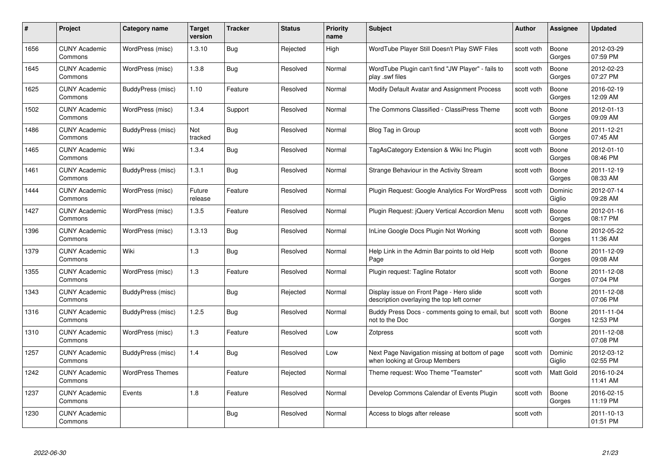| #    | Project                         | <b>Category name</b>    | Target<br>version | <b>Tracker</b> | <b>Status</b> | <b>Priority</b><br>name | <b>Subject</b>                                                                         | <b>Author</b> | Assignee          | <b>Updated</b>         |
|------|---------------------------------|-------------------------|-------------------|----------------|---------------|-------------------------|----------------------------------------------------------------------------------------|---------------|-------------------|------------------------|
| 1656 | <b>CUNY Academic</b><br>Commons | WordPress (misc)        | 1.3.10            | Bug            | Rejected      | High                    | WordTube Player Still Doesn't Play SWF Files                                           | scott voth    | Boone<br>Gorges   | 2012-03-29<br>07:59 PM |
| 1645 | <b>CUNY Academic</b><br>Commons | WordPress (misc)        | 1.3.8             | Bug            | Resolved      | Normal                  | WordTube Plugin can't find "JW Player" - fails to<br>play .swf files                   | scott voth    | Boone<br>Gorges   | 2012-02-23<br>07:27 PM |
| 1625 | <b>CUNY Academic</b><br>Commons | BuddyPress (misc)       | 1.10              | Feature        | Resolved      | Normal                  | Modify Default Avatar and Assignment Process                                           | scott voth    | Boone<br>Gorges   | 2016-02-19<br>12:09 AM |
| 1502 | <b>CUNY Academic</b><br>Commons | WordPress (misc)        | 1.3.4             | Support        | Resolved      | Normal                  | The Commons Classified - ClassiPress Theme                                             | scott voth    | Boone<br>Gorges   | 2012-01-13<br>09:09 AM |
| 1486 | <b>CUNY Academic</b><br>Commons | BuddyPress (misc)       | Not<br>tracked    | <b>Bug</b>     | Resolved      | Normal                  | Blog Tag in Group                                                                      | scott voth    | Boone<br>Gorges   | 2011-12-21<br>07:45 AM |
| 1465 | <b>CUNY Academic</b><br>Commons | Wiki                    | 1.3.4             | <b>Bug</b>     | Resolved      | Normal                  | TagAsCategory Extension & Wiki Inc Plugin                                              | scott voth    | Boone<br>Gorges   | 2012-01-10<br>08:46 PM |
| 1461 | <b>CUNY Academic</b><br>Commons | BuddyPress (misc)       | 1.3.1             | Bug            | Resolved      | Normal                  | Strange Behaviour in the Activity Stream                                               | scott voth    | Boone<br>Gorges   | 2011-12-19<br>08:33 AM |
| 1444 | <b>CUNY Academic</b><br>Commons | WordPress (misc)        | Future<br>release | Feature        | Resolved      | Normal                  | Plugin Request: Google Analytics For WordPress                                         | scott voth    | Dominic<br>Giglio | 2012-07-14<br>09:28 AM |
| 1427 | <b>CUNY Academic</b><br>Commons | WordPress (misc)        | 1.3.5             | Feature        | Resolved      | Normal                  | Plugin Request: jQuery Vertical Accordion Menu                                         | scott voth    | Boone<br>Gorges   | 2012-01-16<br>08:17 PM |
| 1396 | <b>CUNY Academic</b><br>Commons | WordPress (misc)        | 1.3.13            | <b>Bug</b>     | Resolved      | Normal                  | InLine Google Docs Plugin Not Working                                                  | scott voth    | Boone<br>Gorges   | 2012-05-22<br>11:36 AM |
| 1379 | CUNY Academic<br>Commons        | Wiki                    | 1.3               | Bug            | Resolved      | Normal                  | Help Link in the Admin Bar points to old Help<br>Page                                  | scott voth    | Boone<br>Gorges   | 2011-12-09<br>09:08 AM |
| 1355 | <b>CUNY Academic</b><br>Commons | WordPress (misc)        | $1.3$             | Feature        | Resolved      | Normal                  | Plugin request: Tagline Rotator                                                        | scott voth    | Boone<br>Gorges   | 2011-12-08<br>07:04 PM |
| 1343 | <b>CUNY Academic</b><br>Commons | BuddyPress (misc)       |                   | Bug            | Rejected      | Normal                  | Display issue on Front Page - Hero slide<br>description overlaying the top left corner | scott voth    |                   | 2011-12-08<br>07:06 PM |
| 1316 | <b>CUNY Academic</b><br>Commons | BuddyPress (misc)       | 1.2.5             | Bug            | Resolved      | Normal                  | Buddy Press Docs - comments going to email, but<br>not to the Doc                      | scott voth    | Boone<br>Gorges   | 2011-11-04<br>12:53 PM |
| 1310 | <b>CUNY Academic</b><br>Commons | WordPress (misc)        | $1.3$             | Feature        | Resolved      | Low                     | Zotpress                                                                               | scott voth    |                   | 2011-12-08<br>07:08 PM |
| 1257 | <b>CUNY Academic</b><br>Commons | BuddyPress (misc)       | 1.4               | Bug            | Resolved      | Low                     | Next Page Navigation missing at bottom of page<br>when looking at Group Members        | scott voth    | Dominic<br>Giglio | 2012-03-12<br>02:55 PM |
| 1242 | <b>CUNY Academic</b><br>Commons | <b>WordPress Themes</b> |                   | Feature        | Rejected      | Normal                  | Theme request: Woo Theme "Teamster"                                                    | scott voth    | Matt Gold         | 2016-10-24<br>11:41 AM |
| 1237 | <b>CUNY Academic</b><br>Commons | Events                  | 1.8               | Feature        | Resolved      | Normal                  | Develop Commons Calendar of Events Plugin                                              | scott voth    | Boone<br>Gorges   | 2016-02-15<br>11:19 PM |
| 1230 | <b>CUNY Academic</b><br>Commons |                         |                   | Bug            | Resolved      | Normal                  | Access to blogs after release                                                          | scott voth    |                   | 2011-10-13<br>01:51 PM |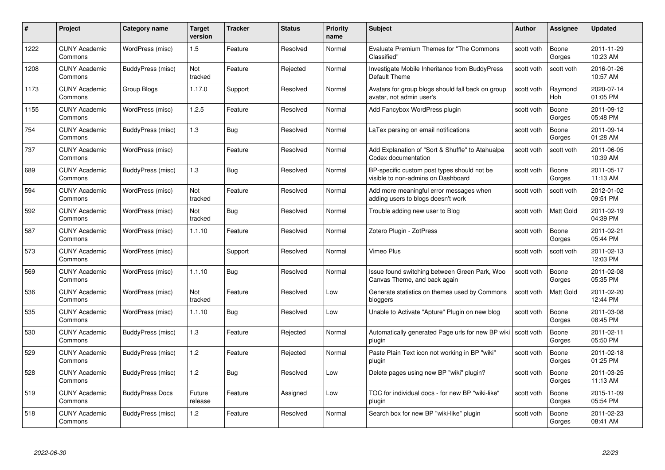| #    | Project                         | Category name          | Target<br>version | <b>Tracker</b> | <b>Status</b> | <b>Priority</b><br>name | <b>Subject</b>                                                                    | Author     | <b>Assignee</b>  | <b>Updated</b>         |
|------|---------------------------------|------------------------|-------------------|----------------|---------------|-------------------------|-----------------------------------------------------------------------------------|------------|------------------|------------------------|
| 1222 | <b>CUNY Academic</b><br>Commons | WordPress (misc)       | 1.5               | Feature        | Resolved      | Normal                  | Evaluate Premium Themes for "The Commons"<br>Classified"                          | scott voth | Boone<br>Gorges  | 2011-11-29<br>10:23 AM |
| 1208 | <b>CUNY Academic</b><br>Commons | BuddyPress (misc)      | Not<br>tracked    | Feature        | Rejected      | Normal                  | Investigate Mobile Inheritance from BuddyPress<br>Default Theme                   | scott voth | scott voth       | 2016-01-26<br>10:57 AM |
| 1173 | <b>CUNY Academic</b><br>Commons | Group Blogs            | 1.17.0            | Support        | Resolved      | Normal                  | Avatars for group blogs should fall back on group<br>avatar, not admin user's     | scott voth | Raymond<br>Hoh   | 2020-07-14<br>01:05 PM |
| 1155 | <b>CUNY Academic</b><br>Commons | WordPress (misc)       | 1.2.5             | Feature        | Resolved      | Normal                  | Add Fancybox WordPress plugin                                                     | scott voth | Boone<br>Gorges  | 2011-09-12<br>05:48 PM |
| 754  | <b>CUNY Academic</b><br>Commons | BuddyPress (misc)      | 1.3               | Bug            | Resolved      | Normal                  | LaTex parsing on email notifications                                              | scott voth | Boone<br>Gorges  | 2011-09-14<br>01:28 AM |
| 737  | <b>CUNY Academic</b><br>Commons | WordPress (misc)       |                   | Feature        | Resolved      | Normal                  | Add Explanation of "Sort & Shuffle" to Atahualpa<br>Codex documentation           | scott voth | scott voth       | 2011-06-05<br>10:39 AM |
| 689  | <b>CUNY Academic</b><br>Commons | BuddyPress (misc)      | 1.3               | Bug            | Resolved      | Normal                  | BP-specific custom post types should not be<br>visible to non-admins on Dashboard | scott voth | Boone<br>Gorges  | 2011-05-17<br>11:13 AM |
| 594  | <b>CUNY Academic</b><br>Commons | WordPress (misc)       | Not<br>tracked    | Feature        | Resolved      | Normal                  | Add more meaningful error messages when<br>adding users to blogs doesn't work     | scott voth | scott voth       | 2012-01-02<br>09:51 PM |
| 592  | <b>CUNY Academic</b><br>Commons | WordPress (misc)       | Not<br>tracked    | <b>Bug</b>     | Resolved      | Normal                  | Trouble adding new user to Blog                                                   | scott voth | Matt Gold        | 2011-02-19<br>04:39 PM |
| 587  | <b>CUNY Academic</b><br>Commons | WordPress (misc)       | 1.1.10            | Feature        | Resolved      | Normal                  | Zotero Plugin - ZotPress                                                          | scott voth | Boone<br>Gorges  | 2011-02-21<br>05:44 PM |
| 573  | <b>CUNY Academic</b><br>Commons | WordPress (misc)       |                   | Support        | Resolved      | Normal                  | Vimeo Plus                                                                        | scott voth | scott voth       | 2011-02-13<br>12:03 PM |
| 569  | <b>CUNY Academic</b><br>Commons | WordPress (misc)       | 1.1.10            | <b>Bug</b>     | Resolved      | Normal                  | Issue found switching between Green Park, Woo<br>Canvas Theme, and back again     | scott voth | Boone<br>Gorges  | 2011-02-08<br>05:35 PM |
| 536  | <b>CUNY Academic</b><br>Commons | WordPress (misc)       | Not<br>tracked    | Feature        | Resolved      | Low                     | Generate statistics on themes used by Commons<br>bloggers                         | scott voth | <b>Matt Gold</b> | 2011-02-20<br>12:44 PM |
| 535  | <b>CUNY Academic</b><br>Commons | WordPress (misc)       | 1.1.10            | <b>Bug</b>     | Resolved      | Low                     | Unable to Activate "Apture" Plugin on new blog                                    | scott voth | Boone<br>Gorges  | 2011-03-08<br>08:45 PM |
| 530  | <b>CUNY Academic</b><br>Commons | BuddyPress (misc)      | 1.3               | Feature        | Rejected      | Normal                  | Automatically generated Page urls for new BP wiki<br>plugin                       | scott voth | Boone<br>Gorges  | 2011-02-11<br>05:50 PM |
| 529  | <b>CUNY Academic</b><br>Commons | BuddyPress (misc)      | $1.2$             | Feature        | Rejected      | Normal                  | Paste Plain Text icon not working in BP "wiki"<br>plugin                          | scott voth | Boone<br>Gorges  | 2011-02-18<br>01:25 PM |
| 528  | <b>CUNY Academic</b><br>Commons | BuddyPress (misc)      | 1.2               | <b>Bug</b>     | Resolved      | Low                     | Delete pages using new BP "wiki" plugin?                                          | scott voth | Boone<br>Gorges  | 2011-03-25<br>11:13 AM |
| 519  | <b>CUNY Academic</b><br>Commons | <b>BuddyPress Docs</b> | Future<br>release | Feature        | Assigned      | Low                     | TOC for individual docs - for new BP "wiki-like"<br>plugin                        | scott voth | Boone<br>Gorges  | 2015-11-09<br>05:54 PM |
| 518  | <b>CUNY Academic</b><br>Commons | BuddyPress (misc)      | 1.2               | Feature        | Resolved      | Normal                  | Search box for new BP "wiki-like" plugin                                          | scott voth | Boone<br>Gorges  | 2011-02-23<br>08:41 AM |